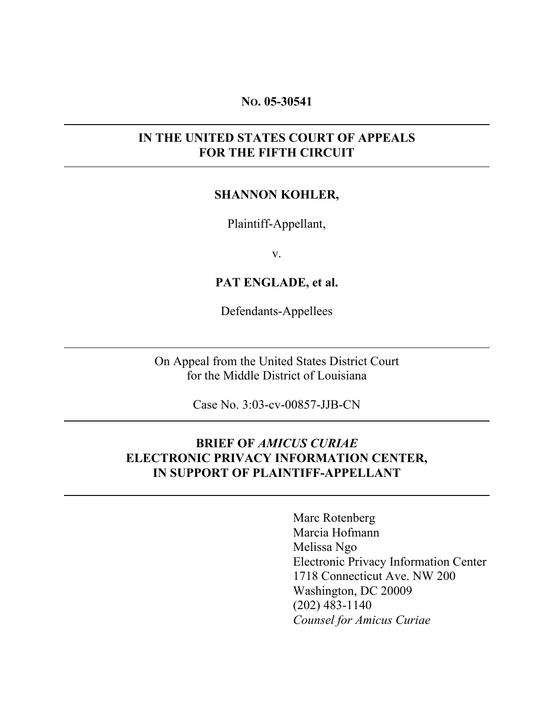#### NO. 05-30541

## IN THE UNITED STATES COURT OF APPEALS FOR THE FIFTH CIRCUIT

## SHANNON KOHLER,

Plaintiff-Appellant,

v.

PAT ENGLADE, et al.

Defendants-Appellees

On Appeal from the United States District Court for the Middle District of Louisiana

Case No. 3:03-cv-00857-JJB-CN

## BRIEF OF *AMICUS CURIAE* ELECTRONIC PRIVACY INFORMATION CENTER, IN SUPPORT OF PLAINTIFF-APPELLANT

Marc Rotenberg Marcia Hofmann Melissa Ngo Electronic Privacy Information Center 1718 Connecticut Ave. NW 200 Washington, DC 20009 (202) 483-1140 *Counsel for Amicus Curiae*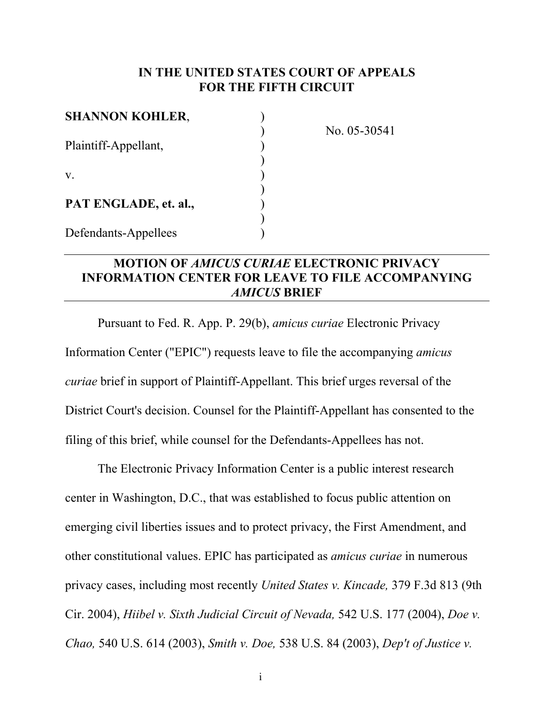## IN THE UNITED STATES COURT OF APPEALS FOR THE FIFTH CIRCUIT

| <b>SHANNON KOHLER,</b> |  |
|------------------------|--|
| Plaintiff-Appellant,   |  |
| V.                     |  |
| PAT ENGLADE, et. al.,  |  |
| Defendants-Appellees   |  |

) No. 05-30541

## MOTION OF *AMICUS CURIAE* ELECTRONIC PRIVACY INFORMATION CENTER FOR LEAVE TO FILE ACCOMPANYING *AMICUS* BRIEF

Pursuant to Fed. R. App. P. 29(b), *amicus curiae* Electronic Privacy Information Center ("EPIC") requests leave to file the accompanying *amicus curiae* brief in support of Plaintiff-Appellant. This brief urges reversal of the District Court's decision. Counsel for the Plaintiff-Appellant has consented to the filing of this brief, while counsel for the Defendants-Appellees has not.

The Electronic Privacy Information Center is a public interest research center in Washington, D.C., that was established to focus public attention on emerging civil liberties issues and to protect privacy, the First Amendment, and other constitutional values. EPIC has participated as *amicus curiae* in numerous privacy cases, including most recently *United States v. Kincade,* 379 F.3d 813 (9th Cir. 2004), *Hiibel v. Sixth Judicial Circuit of Nevada,* 542 U.S. 177 (2004), *Doe v. Chao,* 540 U.S. 614 (2003), *Smith v. Doe,* 538 U.S. 84 (2003), *Dep't of Justice v.*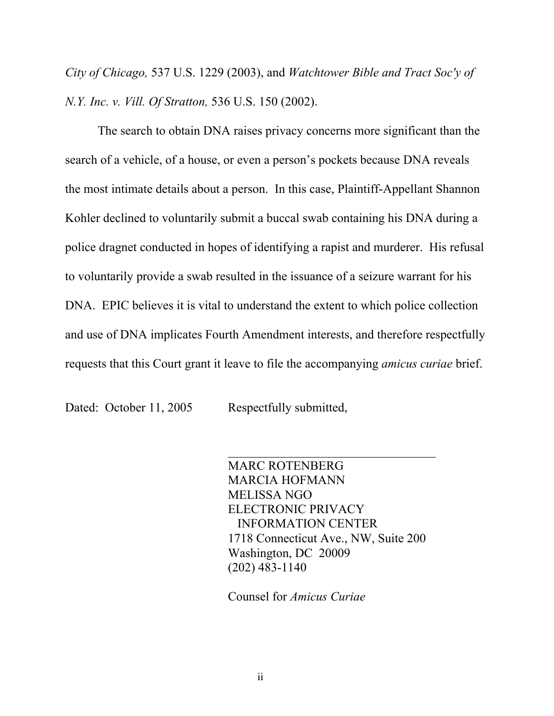*City of Chicago,* 537 U.S. 1229 (2003), and *Watchtower Bible and Tract Soc'y of N.Y. Inc. v. Vill. Of Stratton,* 536 U.S. 150 (2002).

The search to obtain DNA raises privacy concerns more significant than the search of a vehicle, of a house, or even a person's pockets because DNA reveals the most intimate details about a person. In this case, Plaintiff-Appellant Shannon Kohler declined to voluntarily submit a buccal swab containing his DNA during a police dragnet conducted in hopes of identifying a rapist and murderer. His refusal to voluntarily provide a swab resulted in the issuance of a seizure warrant for his DNA. EPIC believes it is vital to understand the extent to which police collection and use of DNA implicates Fourth Amendment interests, and therefore respectfully requests that this Court grant it leave to file the accompanying *amicus curiae* brief.

Dated: October 11, 2005 Respectfully submitted,

MARC ROTENBERG MARCIA HOFMANN MELISSA NGO ELECTRONIC PRIVACY INFORMATION CENTER 1718 Connecticut Ave., NW, Suite 200 Washington, DC 20009 (202) 483-1140

 $\mathcal{L}_\text{max}$ 

Counsel for *Amicus Curiae*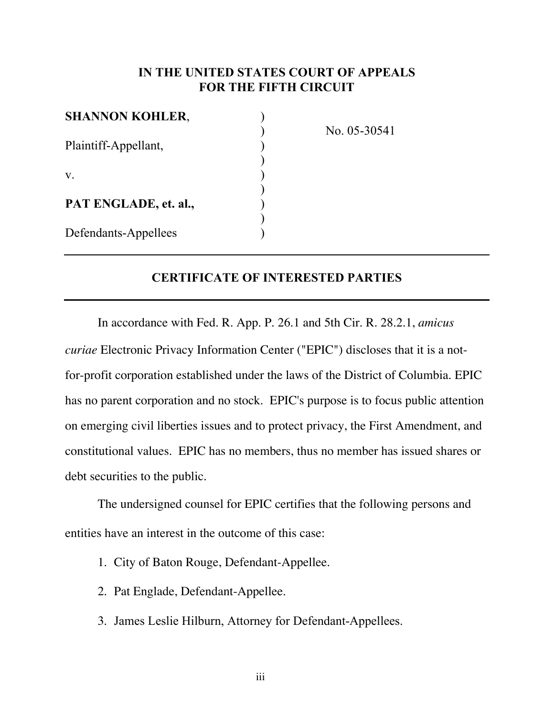## IN THE UNITED STATES COURT OF APPEALS FOR THE FIFTH CIRCUIT

| <b>SHANNON KOHLER,</b> |  |
|------------------------|--|
| Plaintiff-Appellant,   |  |
| V.                     |  |
| PAT ENGLADE, et. al.,  |  |
| Defendants-Appellees   |  |

) No. 05-30541

## CERTIFICATE OF INTERESTED PARTIES

In accordance with Fed. R. App. P. 26.1 and 5th Cir. R. 28.2.1, *amicus curiae* Electronic Privacy Information Center ("EPIC") discloses that it is a notfor-profit corporation established under the laws of the District of Columbia. EPIC has no parent corporation and no stock. EPIC's purpose is to focus public attention on emerging civil liberties issues and to protect privacy, the First Amendment, and constitutional values. EPIC has no members, thus no member has issued shares or debt securities to the public.

The undersigned counsel for EPIC certifies that the following persons and entities have an interest in the outcome of this case:

- 1. City of Baton Rouge, Defendant-Appellee.
- 2. Pat Englade, Defendant-Appellee.
- 3. James Leslie Hilburn, Attorney for Defendant-Appellees.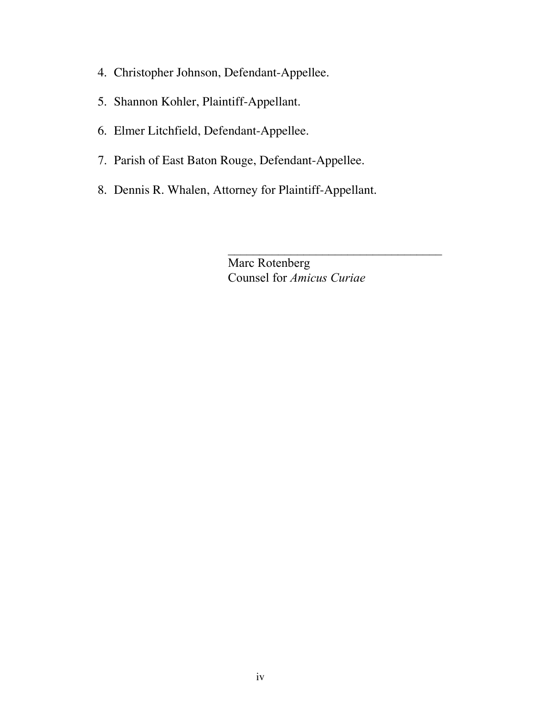- 4. Christopher Johnson, Defendant-Appellee.
- 5. Shannon Kohler, Plaintiff-Appellant.
- 6. Elmer Litchfield, Defendant-Appellee.
- 7. Parish of East Baton Rouge, Defendant-Appellee.
- 8. Dennis R. Whalen, Attorney for Plaintiff-Appellant.

Marc Rotenberg Counsel for *Amicus Curiae*

 $\mathcal{L}_\text{max}$  , where  $\mathcal{L}_\text{max}$  and  $\mathcal{L}_\text{max}$  and  $\mathcal{L}_\text{max}$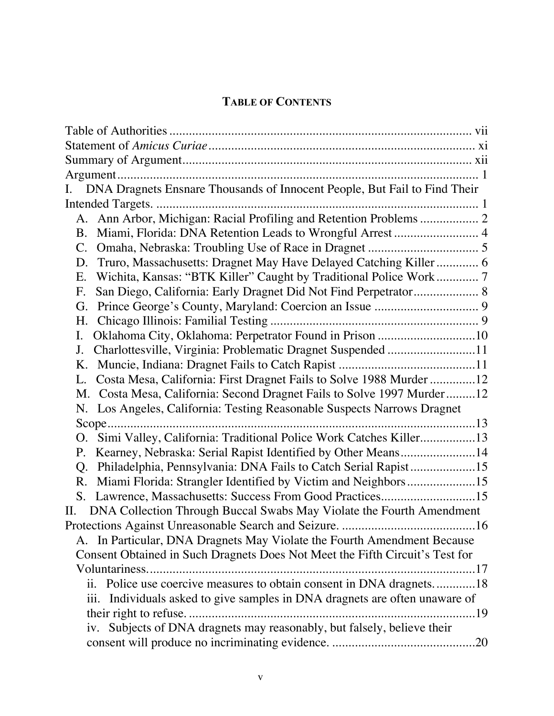# TABLE OF CONTENTS

| DNA Dragnets Ensnare Thousands of Innocent People, But Fail to Find Their                           |
|-----------------------------------------------------------------------------------------------------|
|                                                                                                     |
|                                                                                                     |
| Miami, Florida: DNA Retention Leads to Wrongful Arrest  4<br>В.                                     |
| C.                                                                                                  |
| Truro, Massachusetts: Dragnet May Have Delayed Catching Killer 6<br>D.                              |
| Wichita, Kansas: "BTK Killer" Caught by Traditional Police Work 7<br>Е.                             |
| San Diego, California: Early Dragnet Did Not Find Perpetrator 8<br>F.                               |
| G.                                                                                                  |
| Η.                                                                                                  |
| Oklahoma City, Oklahoma: Perpetrator Found in Prison 10                                             |
| Charlottesville, Virginia: Problematic Dragnet Suspended 11<br>J.                                   |
|                                                                                                     |
| Costa Mesa, California: First Dragnet Fails to Solve 1988 Murder 12                                 |
| M. Costa Mesa, California: Second Dragnet Fails to Solve 1997 Murder12                              |
| N. Los Angeles, California: Testing Reasonable Suspects Narrows Dragnet                             |
|                                                                                                     |
| Simi Valley, California: Traditional Police Work Catches Killer13                                   |
| Kearney, Nebraska: Serial Rapist Identified by Other Means14<br>Ρ.                                  |
| Philadelphia, Pennsylvania: DNA Fails to Catch Serial Rapist15<br>Q.                                |
| Miami Florida: Strangler Identified by Victim and Neighbors15<br>R.                                 |
| Lawrence, Massachusetts: Success From Good Practices15<br>S.                                        |
| DNA Collection Through Buccal Swabs May Violate the Fourth Amendment<br>П.                          |
|                                                                                                     |
| A. In Particular, DNA Dragnets May Violate the Fourth Amendment Because                             |
| Consent Obtained in Such Dragnets Does Not Meet the Fifth Circuit's Test for                        |
|                                                                                                     |
| Police use coercive measures to obtain consent in DNA dragnets18<br>$\overline{\mathbf{u}}$ .       |
| Individuals asked to give samples in DNA dragnets are often unaware of<br>$\overline{\text{iii}}$ . |
| their right to refuse<br>19                                                                         |
| iv. Subjects of DNA dragnets may reasonably, but falsely, believe their                             |
|                                                                                                     |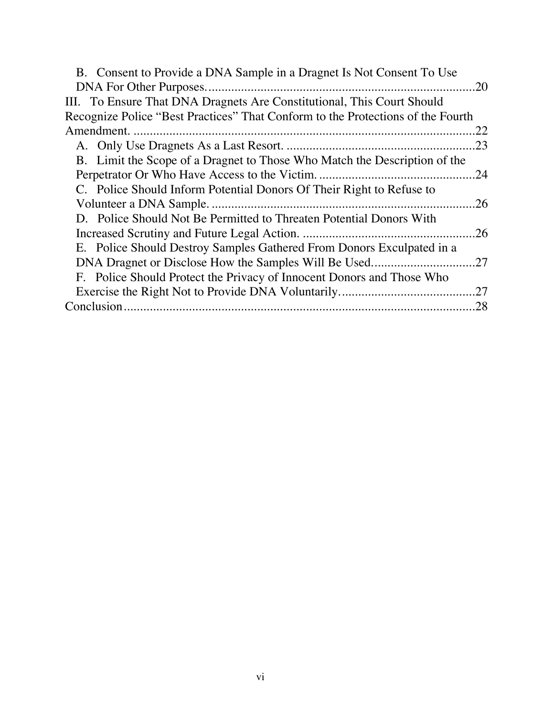| 20<br>III. To Ensure That DNA Dragnets Are Constitutional, This Court Should<br>Recognize Police "Best Practices" That Conform to the Protections of the Fourth<br>.22 |
|------------------------------------------------------------------------------------------------------------------------------------------------------------------------|
|                                                                                                                                                                        |
|                                                                                                                                                                        |
|                                                                                                                                                                        |
|                                                                                                                                                                        |
| .23                                                                                                                                                                    |
| B. Limit the Scope of a Dragnet to Those Who Match the Description of the                                                                                              |
| .24                                                                                                                                                                    |
| C. Police Should Inform Potential Donors Of Their Right to Refuse to                                                                                                   |
| .26                                                                                                                                                                    |
| D. Police Should Not Be Permitted to Threaten Potential Donors With                                                                                                    |
| .26                                                                                                                                                                    |
| E. Police Should Destroy Samples Gathered From Donors Exculpated in a                                                                                                  |
| .27                                                                                                                                                                    |
| F. Police Should Protect the Privacy of Innocent Donors and Those Who                                                                                                  |
| .27                                                                                                                                                                    |
| .28                                                                                                                                                                    |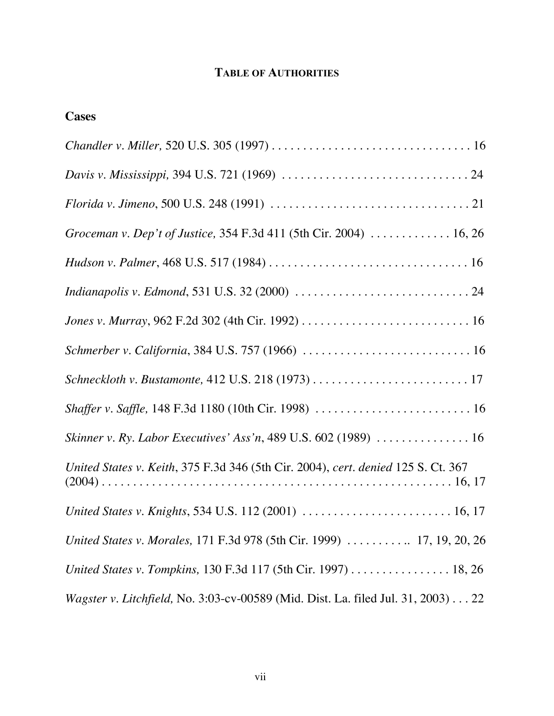# TABLE OF AUTHORITIES

# **Cases**

| Groceman v. Dep't of Justice, 354 F.3d 411 (5th Cir. 2004)  16, 26                |
|-----------------------------------------------------------------------------------|
|                                                                                   |
|                                                                                   |
|                                                                                   |
|                                                                                   |
|                                                                                   |
|                                                                                   |
| Skinner v. Ry. Labor Executives' Ass'n, 489 U.S. 602 (1989)  16                   |
| United States v. Keith, 375 F.3d 346 (5th Cir. 2004), cert. denied 125 S. Ct. 367 |
|                                                                                   |
| United States v. Morales, 171 F.3d 978 (5th Cir. 1999)  17, 19, 20, 26            |
| United States v. Tompkins, 130 F.3d 117 (5th Cir. 1997) 18, 26                    |
| Wagster v. Litchfield, No. 3:03-cv-00589 (Mid. Dist. La. filed Jul. 31, 2003) 22  |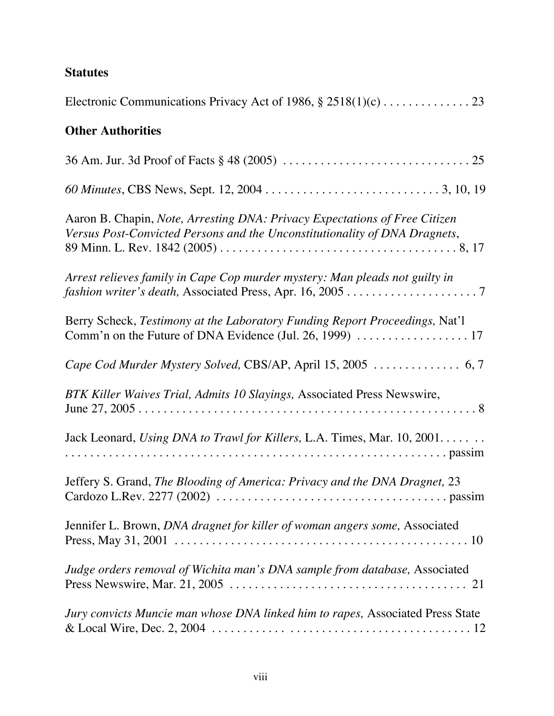# **Statutes**

| <b>Other Authorities</b>                                                                                                                                 |
|----------------------------------------------------------------------------------------------------------------------------------------------------------|
|                                                                                                                                                          |
|                                                                                                                                                          |
| Aaron B. Chapin, Note, Arresting DNA: Privacy Expectations of Free Citizen<br>Versus Post-Convicted Persons and the Unconstitutionality of DNA Dragnets, |
| Arrest relieves family in Cape Cop murder mystery: Man pleads not guilty in                                                                              |
| Berry Scheck, Testimony at the Laboratory Funding Report Proceedings, Nat'l                                                                              |
|                                                                                                                                                          |
| BTK Killer Waives Trial, Admits 10 Slayings, Associated Press Newswire,                                                                                  |
| Jack Leonard, Using DNA to Trawl for Killers, L.A. Times, Mar. 10, 2001                                                                                  |
| Jeffery S. Grand, The Blooding of America: Privacy and the DNA Dragnet, 23                                                                               |
| Jennifer L. Brown, DNA dragnet for killer of woman angers some, Associated                                                                               |
| Judge orders removal of Wichita man's DNA sample from database, Associated                                                                               |
| Jury convicts Muncie man whose DNA linked him to rapes, Associated Press State                                                                           |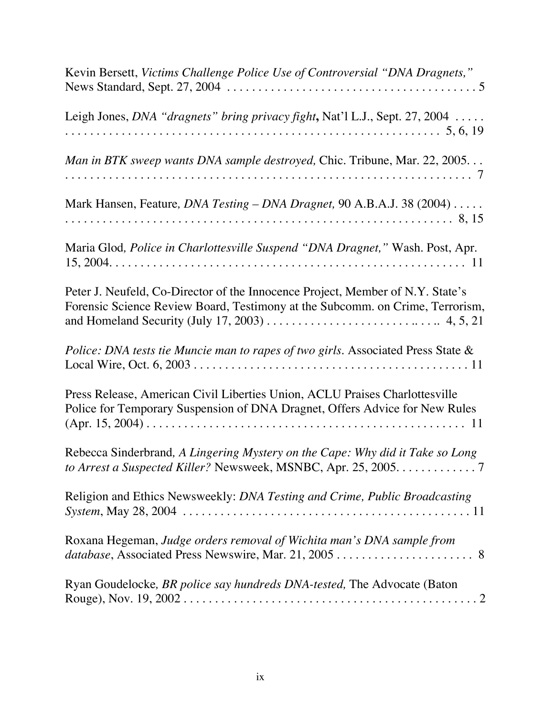| Kevin Bersett, Victims Challenge Police Use of Controversial "DNA Dragnets,"                                                                                                                                                                                                    |
|---------------------------------------------------------------------------------------------------------------------------------------------------------------------------------------------------------------------------------------------------------------------------------|
| Leigh Jones, DNA "dragnets" bring privacy fight, Nat'l L.J., Sept. 27, 2004                                                                                                                                                                                                     |
| Man in BTK sweep wants DNA sample destroyed, Chic. Tribune, Mar. 22, 2005                                                                                                                                                                                                       |
| Mark Hansen, Feature, <i>DNA Testing - DNA Dragnet</i> , 90 A.B.A.J. 38 (2004)                                                                                                                                                                                                  |
| Maria Glod, Police in Charlottesville Suspend "DNA Dragnet," Wash. Post, Apr.                                                                                                                                                                                                   |
| Peter J. Neufeld, Co-Director of the Innocence Project, Member of N.Y. State's<br>Forensic Science Review Board, Testimony at the Subcomm. on Crime, Terrorism,<br>and Homeland Security (July 17, 2003) $\dots \dots \dots \dots \dots \dots \dots \dots \dots \dots$ 4, 5, 21 |
| Police: DNA tests tie Muncie man to rapes of two girls. Associated Press State &                                                                                                                                                                                                |
| Press Release, American Civil Liberties Union, ACLU Praises Charlottesville<br>Police for Temporary Suspension of DNA Dragnet, Offers Advice for New Rules                                                                                                                      |
| Rebecca Sinderbrand, A Lingering Mystery on the Cape: Why did it Take so Long<br>to Arrest a Suspected Killer? Newsweek, MSNBC, Apr. 25, 2005. 7                                                                                                                                |
| Religion and Ethics Newsweekly: DNA Testing and Crime, Public Broadcasting                                                                                                                                                                                                      |
| Roxana Hegeman, Judge orders removal of Wichita man's DNA sample from                                                                                                                                                                                                           |
| Ryan Goudelocke, BR police say hundreds DNA-tested, The Advocate (Baton                                                                                                                                                                                                         |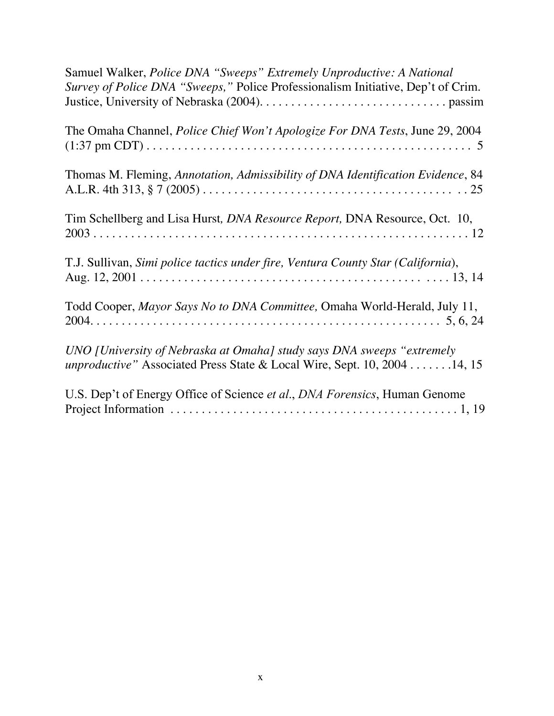| Samuel Walker, Police DNA "Sweeps" Extremely Unproductive: A National<br>Survey of Police DNA "Sweeps," Police Professionalism Initiative, Dep't of Crim.  |
|------------------------------------------------------------------------------------------------------------------------------------------------------------|
| The Omaha Channel, <i>Police Chief Won't Apologize For DNA Tests</i> , June 29, 2004                                                                       |
| Thomas M. Fleming, Annotation, Admissibility of DNA Identification Evidence, 84                                                                            |
| Tim Schellberg and Lisa Hurst, <i>DNA Resource Report</i> , DNA Resource, Oct. 10,                                                                         |
| T.J. Sullivan, Simi police tactics under fire, Ventura County Star (California),                                                                           |
| Todd Cooper, Mayor Says No to DNA Committee, Omaha World-Herald, July 11,                                                                                  |
| UNO [University of Nebraska at Omaha] study says DNA sweeps "extremely<br><i>unproductive</i> " Associated Press State & Local Wire, Sept. 10, 2004 14, 15 |
| U.S. Dep't of Energy Office of Science et al., DNA Forensics, Human Genome                                                                                 |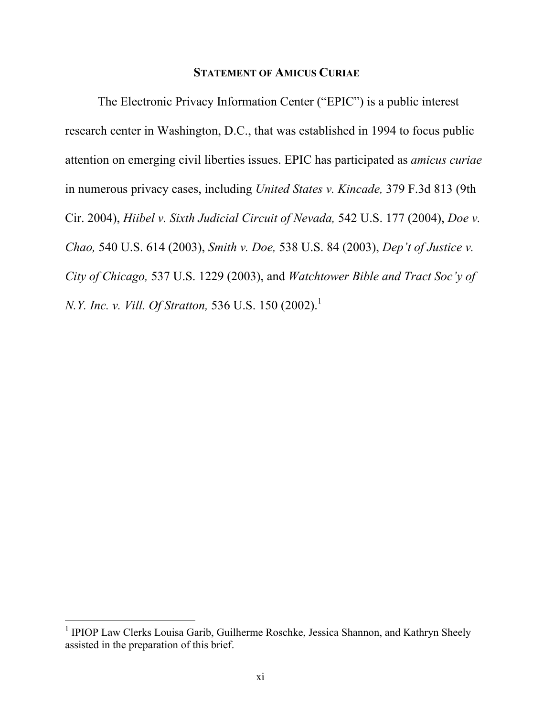#### STATEMENT OF AMICUS CURIAE

The Electronic Privacy Information Center ("EPIC") is a public interest research center in Washington, D.C., that was established in 1994 to focus public attention on emerging civil liberties issues. EPIC has participated as *amicus curiae* in numerous privacy cases, including *United States v. Kincade,* 379 F.3d 813 (9th Cir. 2004), *Hiibel v. Sixth Judicial Circuit of Nevada,* 542 U.S. 177 (2004), *Doe v. Chao,* 540 U.S. 614 (2003), *Smith v. Doe,* 538 U.S. 84 (2003), *Dep't of Justice v. City of Chicago,* 537 U.S. 1229 (2003), and *Watchtower Bible and Tract Soc'y of N.Y. Inc. v. Vill. Of Stratton,* 536 U.S. 150 (2002).<sup>1</sup>

<sup>&</sup>lt;sup>1</sup> IPIOP Law Clerks Louisa Garib, Guilherme Roschke, Jessica Shannon, and Kathryn Sheely assisted in the preparation of this brief.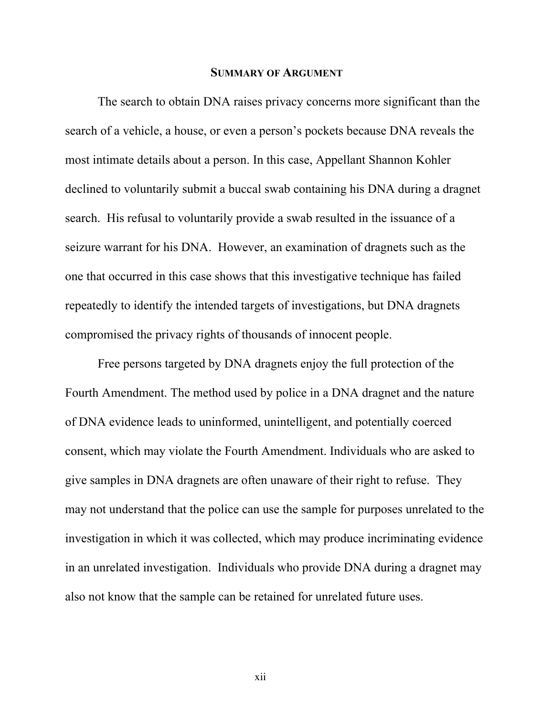#### SUMMARY OF ARGUMENT

The search to obtain DNA raises privacy concerns more significant than the search of a vehicle, a house, or even a person's pockets because DNA reveals the most intimate details about a person. In this case, Appellant Shannon Kohler declined to voluntarily submit a buccal swab containing his DNA during a dragnet search. His refusal to voluntarily provide a swab resulted in the issuance of a seizure warrant for his DNA. However, an examination of dragnets such as the one that occurred in this case shows that this investigative technique has failed repeatedly to identify the intended targets of investigations, but DNA dragnets compromised the privacy rights of thousands of innocent people.

Free persons targeted by DNA dragnets enjoy the full protection of the Fourth Amendment. The method used by police in a DNA dragnet and the nature of DNA evidence leads to uninformed, unintelligent, and potentially coerced consent, which may violate the Fourth Amendment. Individuals who are asked to give samples in DNA dragnets are often unaware of their right to refuse. They may not understand that the police can use the sample for purposes unrelated to the investigation in which it was collected, which may produce incriminating evidence in an unrelated investigation. Individuals who provide DNA during a dragnet may also not know that the sample can be retained for unrelated future uses.

xii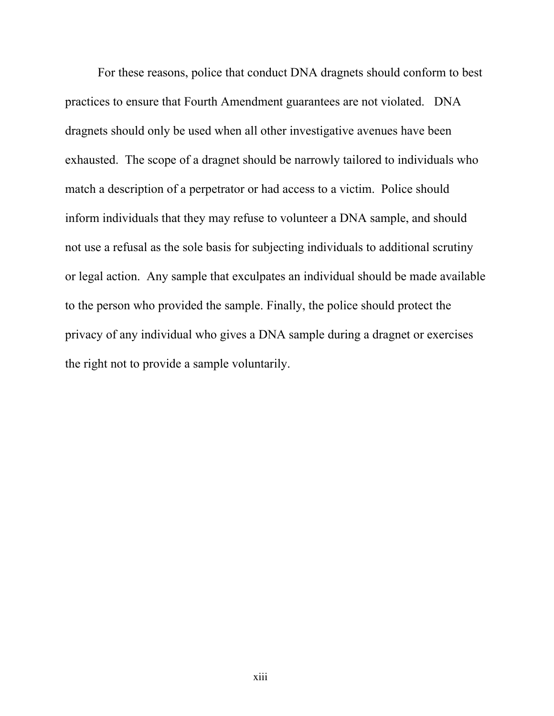For these reasons, police that conduct DNA dragnets should conform to best practices to ensure that Fourth Amendment guarantees are not violated. DNA dragnets should only be used when all other investigative avenues have been exhausted. The scope of a dragnet should be narrowly tailored to individuals who match a description of a perpetrator or had access to a victim. Police should inform individuals that they may refuse to volunteer a DNA sample, and should not use a refusal as the sole basis for subjecting individuals to additional scrutiny or legal action. Any sample that exculpates an individual should be made available to the person who provided the sample. Finally, the police should protect the privacy of any individual who gives a DNA sample during a dragnet or exercises the right not to provide a sample voluntarily.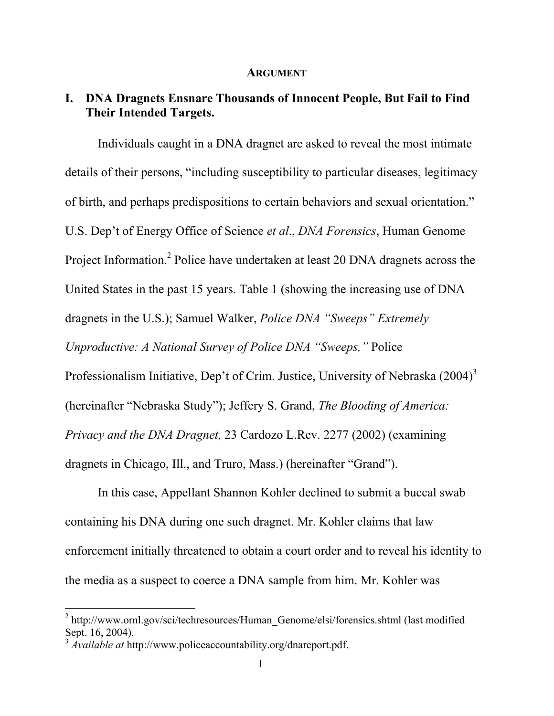#### ARGUMENT

## I. DNA Dragnets Ensnare Thousands of Innocent People, But Fail to Find Their Intended Targets.

Individuals caught in a DNA dragnet are asked to reveal the most intimate details of their persons, "including susceptibility to particular diseases, legitimacy of birth, and perhaps predispositions to certain behaviors and sexual orientation." U.S. Dep't of Energy Office of Science *et al*., *DNA Forensics*, Human Genome Project Information.<sup>2</sup> Police have undertaken at least 20 DNA dragnets across the United States in the past 15 years. Table 1 (showing the increasing use of DNA dragnets in the U.S.); Samuel Walker, *Police DNA "Sweeps" Extremely Unproductive: A National Survey of Police DNA "Sweeps,"* Police Professionalism Initiative, Dep't of Crim. Justice, University of Nebraska  $(2004)^3$ (hereinafter "Nebraska Study"); Jeffery S. Grand, *The Blooding of America: Privacy and the DNA Dragnet,* 23 Cardozo L.Rev. 2277 (2002) (examining dragnets in Chicago, Ill., and Truro, Mass.) (hereinafter "Grand").

In this case, Appellant Shannon Kohler declined to submit a buccal swab containing his DNA during one such dragnet. Mr. Kohler claims that law enforcement initially threatened to obtain a court order and to reveal his identity to the media as a suspect to coerce a DNA sample from him. Mr. Kohler was

2 http://www.ornl.gov/sci/techresources/Human\_Genome/elsi/forensics.shtml (last modified Sept. 16, 2004).

<sup>3</sup> *Available at* http://www.policeaccountability.org/dnareport.pdf.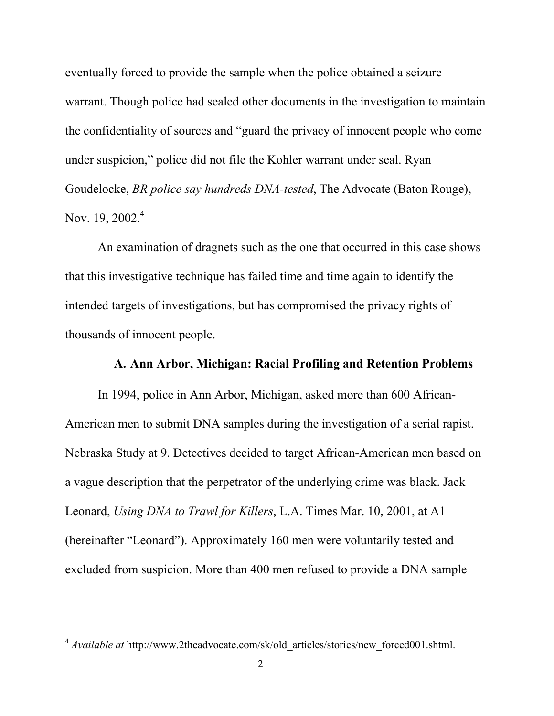eventually forced to provide the sample when the police obtained a seizure warrant. Though police had sealed other documents in the investigation to maintain the confidentiality of sources and "guard the privacy of innocent people who come under suspicion," police did not file the Kohler warrant under seal. Ryan Goudelocke, *BR police say hundreds DNA-tested*, The Advocate (Baton Rouge), Nov. 19, 2002.<sup>4</sup>

An examination of dragnets such as the one that occurred in this case shows that this investigative technique has failed time and time again to identify the intended targets of investigations, but has compromised the privacy rights of thousands of innocent people.

### A. Ann Arbor, Michigan: Racial Profiling and Retention Problems

In 1994, police in Ann Arbor, Michigan, asked more than 600 African-American men to submit DNA samples during the investigation of a serial rapist. Nebraska Study at 9. Detectives decided to target African-American men based on a vague description that the perpetrator of the underlying crime was black. Jack Leonard, *Using DNA to Trawl for Killers*, L.A. Times Mar. 10, 2001, at A1 (hereinafter "Leonard"). Approximately 160 men were voluntarily tested and excluded from suspicion. More than 400 men refused to provide a DNA sample

<sup>&</sup>lt;sup>4</sup> *Available at* http://www.2theadvocate.com/sk/old\_articles/stories/new\_forced001.shtml.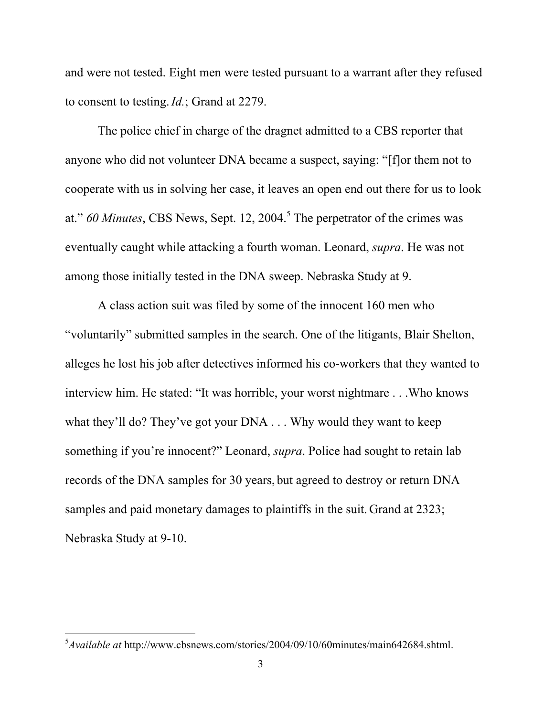and were not tested. Eight men were tested pursuant to a warrant after they refused to consent to testing.*Id.*; Grand at 2279.

The police chief in charge of the dragnet admitted to a CBS reporter that anyone who did not volunteer DNA became a suspect, saying: "[f]or them not to cooperate with us in solving her case, it leaves an open end out there for us to look at." 60 Minutes, CBS News, Sept. 12, 2004.<sup>5</sup> The perpetrator of the crimes was eventually caught while attacking a fourth woman. Leonard, *supra*. He was not among those initially tested in the DNA sweep. Nebraska Study at 9.

A class action suit was filed by some of the innocent 160 men who "voluntarily" submitted samples in the search. One of the litigants, Blair Shelton, alleges he lost his job after detectives informed his co-workers that they wanted to interview him. He stated: "It was horrible, your worst nightmare . . .Who knows what they'll do? They've got your DNA . . . Why would they want to keep something if you're innocent?" Leonard, *supra*. Police had sought to retain lab records of the DNA samples for 30 years, but agreed to destroy or return DNA samples and paid monetary damages to plaintiffs in the suit. Grand at 2323; Nebraska Study at 9-10.

5 *Available at* http://www.cbsnews.com/stories/2004/09/10/60minutes/main642684.shtml.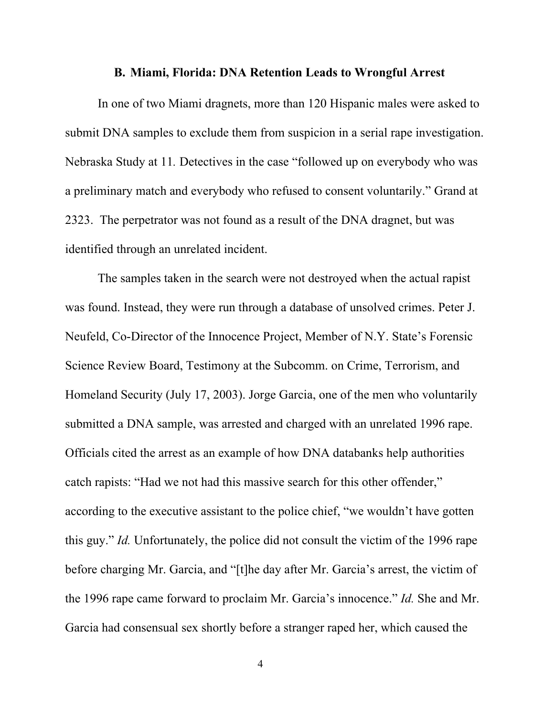#### B. Miami, Florida: DNA Retention Leads to Wrongful Arrest

In one of two Miami dragnets, more than 120 Hispanic males were asked to submit DNA samples to exclude them from suspicion in a serial rape investigation. Nebraska Study at 11*.* Detectives in the case "followed up on everybody who was a preliminary match and everybody who refused to consent voluntarily." Grand at 2323. The perpetrator was not found as a result of the DNA dragnet, but was identified through an unrelated incident.

The samples taken in the search were not destroyed when the actual rapist was found. Instead, they were run through a database of unsolved crimes. Peter J. Neufeld, Co-Director of the Innocence Project, Member of N.Y. State's Forensic Science Review Board, Testimony at the Subcomm. on Crime, Terrorism, and Homeland Security (July 17, 2003). Jorge Garcia, one of the men who voluntarily submitted a DNA sample, was arrested and charged with an unrelated 1996 rape. Officials cited the arrest as an example of how DNA databanks help authorities catch rapists: "Had we not had this massive search for this other offender," according to the executive assistant to the police chief, "we wouldn't have gotten this guy." *Id.* Unfortunately, the police did not consult the victim of the 1996 rape before charging Mr. Garcia, and "[t]he day after Mr. Garcia's arrest, the victim of the 1996 rape came forward to proclaim Mr. Garcia's innocence." *Id.* She and Mr. Garcia had consensual sex shortly before a stranger raped her, which caused the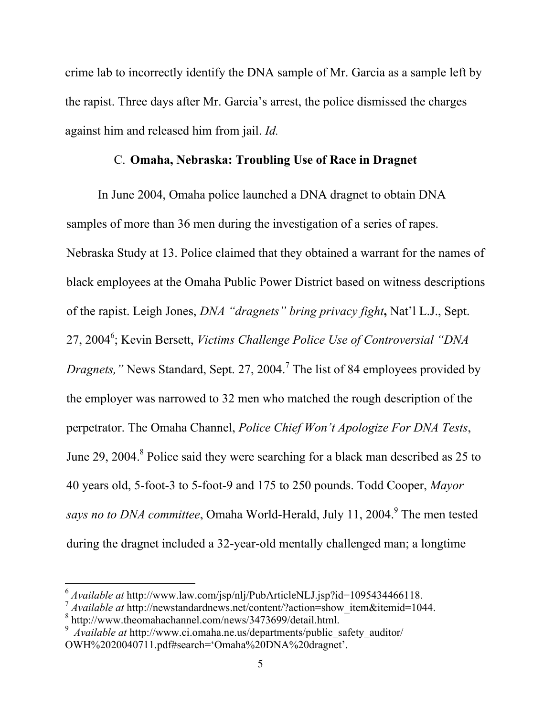crime lab to incorrectly identify the DNA sample of Mr. Garcia as a sample left by the rapist. Three days after Mr. Garcia's arrest, the police dismissed the charges against him and released him from jail. *Id.*

### C. Omaha, Nebraska: Troubling Use of Race in Dragnet

In June 2004, Omaha police launched a DNA dragnet to obtain DNA samples of more than 36 men during the investigation of a series of rapes. Nebraska Study at 13. Police claimed that they obtained a warrant for the names of black employees at the Omaha Public Power District based on witness descriptions of the rapist. Leigh Jones, *DNA "dragnets" bring privacy fight*, Nat'l L.J., Sept. 27, 20046 ; Kevin Bersett, *Victims Challenge Police Use of Controversial "DNA Dragnets,*" News Standard, Sept. 27, 2004.<sup>7</sup> The list of 84 employees provided by the employer was narrowed to 32 men who matched the rough description of the perpetrator. The Omaha Channel, *Police Chief Won't Apologize For DNA Tests*, June 29, 2004.<sup>8</sup> Police said they were searching for a black man described as 25 to 40 years old, 5-foot-3 to 5-foot-9 and 175 to 250 pounds. Todd Cooper, *Mayor* says no to DNA committee, Omaha World-Herald, July 11, 2004.<sup>9</sup> The men tested during the dragnet included a 32-year-old mentally challenged man; a longtime

<sup>6</sup> *Available at* http://www.law.com/jsp/nlj/PubArticleNLJ.jsp?id=1095434466118.

<sup>&</sup>lt;sup>7</sup> *Available at* http://newstandardnews.net/content/?action=show\_item&itemid=1044.

<sup>8</sup> http://www.theomahachannel.com/news/3473699/detail.html.

<sup>&</sup>lt;sup>9</sup> Available at http://www.ci.omaha.ne.us/departments/public\_safety\_auditor/ OWH%2020040711.pdf#search='Omaha%20DNA%20dragnet'.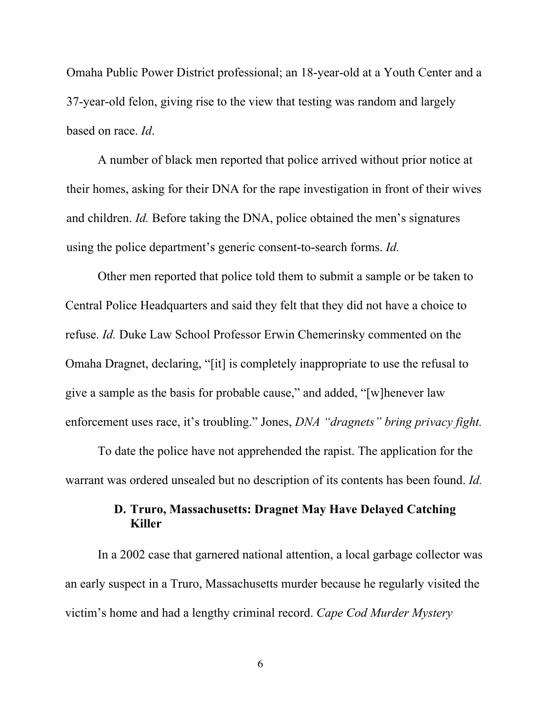Omaha Public Power District professional; an 18-year-old at a Youth Center and a 37-year-old felon, giving rise to the view that testing was random and largely based on race. *Id*.

A number of black men reported that police arrived without prior notice at their homes, asking for their DNA for the rape investigation in front of their wives and children. *Id.* Before taking the DNA, police obtained the men's signatures using the police department's generic consent-to-search forms. *Id.*

Other men reported that police told them to submit a sample or be taken to Central Police Headquarters and said they felt that they did not have a choice to refuse. *Id.* Duke Law School Professor Erwin Chemerinsky commented on the Omaha Dragnet, declaring, "[it] is completely inappropriate to use the refusal to give a sample as the basis for probable cause," and added, "[w]henever law enforcement uses race, it's troubling." Jones, *DNA "dragnets" bring privacy fight.*

To date the police have not apprehended the rapist. The application for the warrant was ordered unsealed but no description of its contents has been found. *Id.*

## D. Truro, Massachusetts: Dragnet May Have Delayed Catching Killer

In a 2002 case that garnered national attention, a local garbage collector was an early suspect in a Truro, Massachusetts murder because he regularly visited the victim's home and had a lengthy criminal record. *Cape Cod Murder Mystery*

6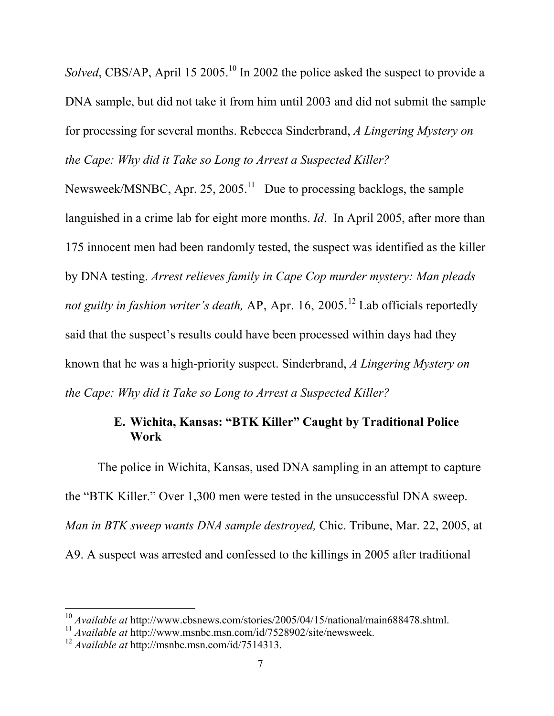Solved, CBS/AP, April 15 2005.<sup>10</sup> In 2002 the police asked the suspect to provide a DNA sample, but did not take it from him until 2003 and did not submit the sample for processing for several months. Rebecca Sinderbrand, *A Lingering Mystery on the Cape: Why did it Take so Long to Arrest a Suspected Killer?*

Newsweek/MSNBC, Apr. 25, 2005.<sup>11</sup> Due to processing backlogs, the sample languished in a crime lab for eight more months. *Id*. In April 2005, after more than 175 innocent men had been randomly tested, the suspect was identified as the killer by DNA testing. *Arrest relieves family in Cape Cop murder mystery: Man pleads not guilty in fashion writer's death,* AP, Apr. 16, 2005. 12 Lab officials reportedly said that the suspect's results could have been processed within days had they known that he was a high-priority suspect. Sinderbrand, *A Lingering Mystery on the Cape: Why did it Take so Long to Arrest a Suspected Killer?*

## E. Wichita, Kansas: "BTK Killer" Caught by Traditional Police Work

The police in Wichita, Kansas, used DNA sampling in an attempt to capture the "BTK Killer." Over 1,300 men were tested in the unsuccessful DNA sweep. *Man in BTK sweep wants DNA sample destroyed,* Chic. Tribune, Mar. 22, 2005, at A9. A suspect was arrested and confessed to the killings in 2005 after traditional

<sup>&</sup>lt;sup>10</sup> *Available at* http://www.cbsnews.com/stories/2005/04/15/national/main688478.shtml.

<sup>11</sup> *Available at* http://www.msnbc.msn.com/id/7528902/site/newsweek.

<sup>12</sup> *Available at* http://msnbc.msn.com/id/7514313.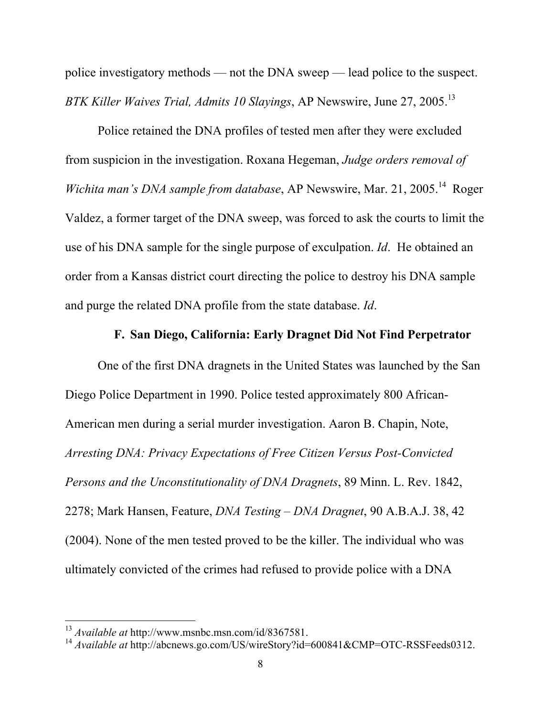police investigatory methods — not the DNA sweep — lead police to the suspect. *BTK Killer Waives Trial, Admits 10 Slayings*, AP Newswire, June 27, 2005.13

Police retained the DNA profiles of tested men after they were excluded from suspicion in the investigation. Roxana Hegeman, *Judge orders removal of* Wichita man's DNA sample from database, AP Newswire, Mar. 21, 2005.<sup>14</sup> Roger Valdez, a former target of the DNA sweep, was forced to ask the courts to limit the use of his DNA sample for the single purpose of exculpation. *Id*. He obtained an order from a Kansas district court directing the police to destroy his DNA sample and purge the related DNA profile from the state database. *Id*.

## F. San Diego, California: Early Dragnet Did Not Find Perpetrator

One of the first DNA dragnets in the United States was launched by the San Diego Police Department in 1990. Police tested approximately 800 African-American men during a serial murder investigation. Aaron B. Chapin, Note, *Arresting DNA: Privacy Expectations of Free Citizen Versus Post-Convicted Persons and the Unconstitutionality of DNA Dragnets*, 89 Minn. L. Rev. 1842, 2278; Mark Hansen, Feature, *DNA Testing – DNA Dragnet*, 90 A.B.A.J. 38, 42 (2004). None of the men tested proved to be the killer. The individual who was ultimately convicted of the crimes had refused to provide police with a DNA

<sup>13</sup> *Available at* http://www.msnbc.msn.com/id/8367581.

<sup>&</sup>lt;sup>14</sup> Available at http://abcnews.go.com/US/wireStory?id=600841&CMP=OTC-RSSFeeds0312.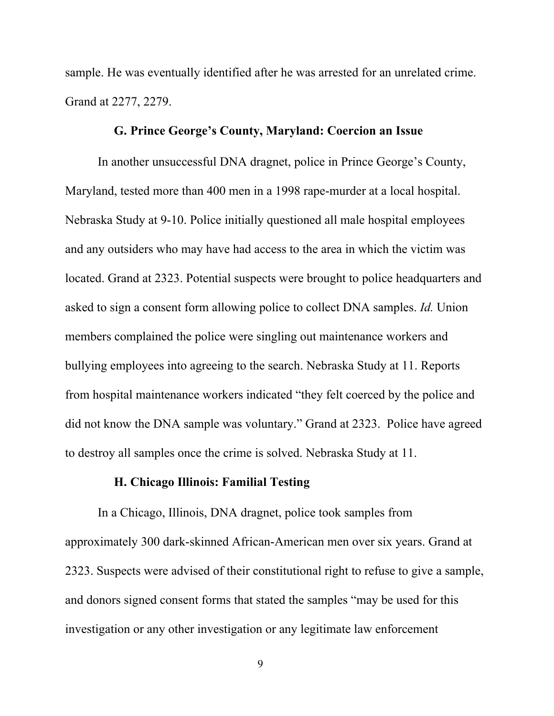sample. He was eventually identified after he was arrested for an unrelated crime. Grand at 2277, 2279.

### G. Prince George's County, Maryland: Coercion an Issue

In another unsuccessful DNA dragnet, police in Prince George's County, Maryland, tested more than 400 men in a 1998 rape-murder at a local hospital. Nebraska Study at 9-10. Police initially questioned all male hospital employees and any outsiders who may have had access to the area in which the victim was located. Grand at 2323. Potential suspects were brought to police headquarters and asked to sign a consent form allowing police to collect DNA samples. *Id.* Union members complained the police were singling out maintenance workers and bullying employees into agreeing to the search. Nebraska Study at 11. Reports from hospital maintenance workers indicated "they felt coerced by the police and did not know the DNA sample was voluntary." Grand at 2323. Police have agreed to destroy all samples once the crime is solved. Nebraska Study at 11.

#### H. Chicago Illinois: Familial Testing

In a Chicago, Illinois, DNA dragnet, police took samples from approximately 300 dark-skinned African-American men over six years. Grand at 2323. Suspects were advised of their constitutional right to refuse to give a sample, and donors signed consent forms that stated the samples "may be used for this investigation or any other investigation or any legitimate law enforcement

9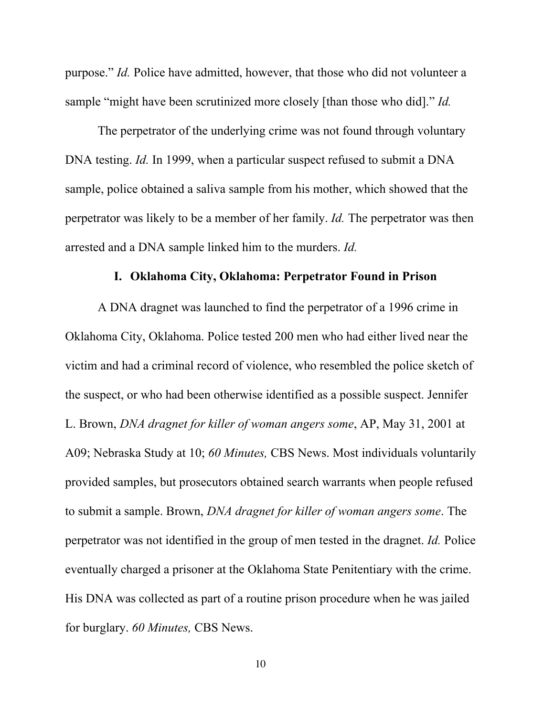purpose." *Id.* Police have admitted, however, that those who did not volunteer a sample "might have been scrutinized more closely [than those who did]." *Id.*

The perpetrator of the underlying crime was not found through voluntary DNA testing. *Id.* In 1999, when a particular suspect refused to submit a DNA sample, police obtained a saliva sample from his mother, which showed that the perpetrator was likely to be a member of her family. *Id.* The perpetrator was then arrested and a DNA sample linked him to the murders. *Id.*

#### I. Oklahoma City, Oklahoma: Perpetrator Found in Prison

A DNA dragnet was launched to find the perpetrator of a 1996 crime in Oklahoma City, Oklahoma. Police tested 200 men who had either lived near the victim and had a criminal record of violence, who resembled the police sketch of the suspect, or who had been otherwise identified as a possible suspect. Jennifer L. Brown, *DNA dragnet for killer of woman angers some*, AP, May 31, 2001 at A09; Nebraska Study at 10; *60 Minutes,* CBS News. Most individuals voluntarily provided samples, but prosecutors obtained search warrants when people refused to submit a sample. Brown, *DNA dragnet for killer of woman angers some*. The perpetrator was not identified in the group of men tested in the dragnet. *Id.* Police eventually charged a prisoner at the Oklahoma State Penitentiary with the crime. His DNA was collected as part of a routine prison procedure when he was jailed for burglary. *60 Minutes,* CBS News.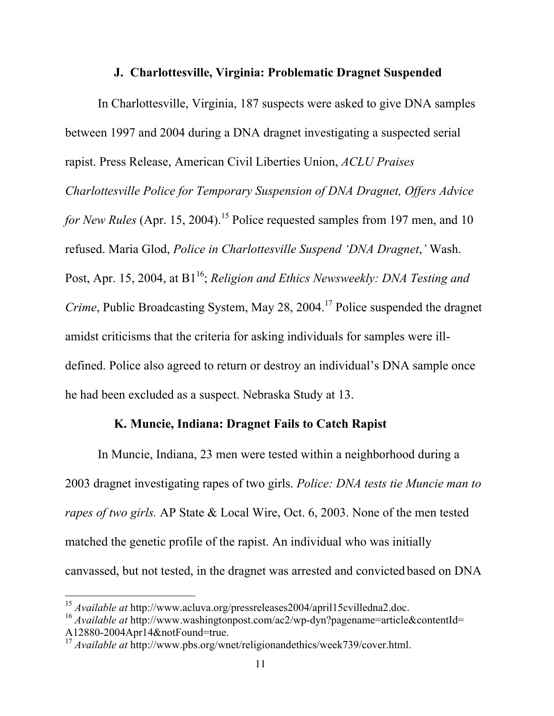#### J. Charlottesville, Virginia: Problematic Dragnet Suspended

In Charlottesville, Virginia, 187 suspects were asked to give DNA samples between 1997 and 2004 during a DNA dragnet investigating a suspected serial rapist. Press Release, American Civil Liberties Union, *ACLU Praises Charlottesville Police for Temporary Suspension of DNA Dragnet, Offers Advice for New Rules* (Apr. 15, 2004).<sup>15</sup> Police requested samples from 197 men, and 10 refused. Maria Glod, *Police in Charlottesville Suspend 'DNA Dragnet*,*'* Wash. Post, Apr. 15, 2004, at B1<sup>16</sup>; *Religion and Ethics Newsweekly: DNA Testing and* Crime, Public Broadcasting System, May 28, 2004.<sup>17</sup> Police suspended the dragnet amidst criticisms that the criteria for asking individuals for samples were illdefined. Police also agreed to return or destroy an individual's DNA sample once he had been excluded as a suspect. Nebraska Study at 13.

## K. Muncie, Indiana: Dragnet Fails to Catch Rapist

In Muncie, Indiana, 23 men were tested within a neighborhood during a 2003 dragnet investigating rapes of two girls. *Police: DNA tests tie Muncie man to rapes of two girls.* AP State & Local Wire, Oct. 6, 2003. None of the men tested matched the genetic profile of the rapist. An individual who was initially canvassed, but not tested, in the dragnet was arrested and convicted based on DNA

<sup>15</sup> *Available at* http://www.acluva.org/pressreleases2004/april15cvilledna2.doc.

<sup>&</sup>lt;sup>16</sup> *Available at* http://www.washingtonpost.com/ac2/wp-dyn?pagename=article&contentId= A12880-2004Apr14&notFound=true.

<sup>17</sup> *Available at* http://www.pbs.org/wnet/religionandethics/week739/cover.html.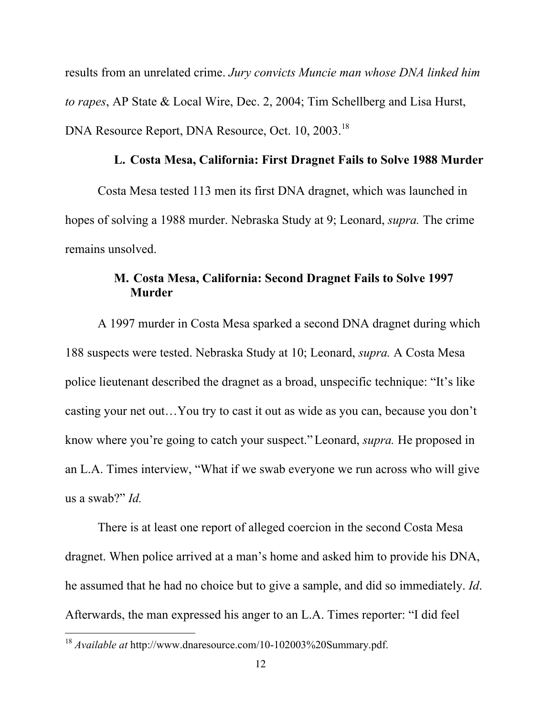results from an unrelated crime. *Jury convicts Muncie man whose DNA linked him to rapes*, AP State & Local Wire, Dec. 2, 2004; Tim Schellberg and Lisa Hurst, DNA Resource Report, DNA Resource, Oct. 10, 2003.<sup>18</sup>

### L. Costa Mesa, California: First Dragnet Fails to Solve 1988 Murder

Costa Mesa tested 113 men its first DNA dragnet, which was launched in hopes of solving a 1988 murder. Nebraska Study at 9; Leonard, *supra.* The crime remains unsolved.

## M. Costa Mesa, California: Second Dragnet Fails to Solve 1997 Murder

A 1997 murder in Costa Mesa sparked a second DNA dragnet during which 188 suspects were tested. Nebraska Study at 10; Leonard, *supra.* A Costa Mesa police lieutenant described the dragnet as a broad, unspecific technique: "It's like casting your net out…You try to cast it out as wide as you can, because you don't know where you're going to catch your suspect."Leonard, *supra.* He proposed in an L.A. Times interview, "What if we swab everyone we run across who will give us a swab?" *Id.*

There is at least one report of alleged coercion in the second Costa Mesa dragnet. When police arrived at a man's home and asked him to provide his DNA, he assumed that he had no choice but to give a sample, and did so immediately. *Id*. Afterwards, the man expressed his anger to an L.A. Times reporter: "I did feel

<sup>18</sup> *Available at* http://www.dnaresource.com/10-102003%20Summary.pdf.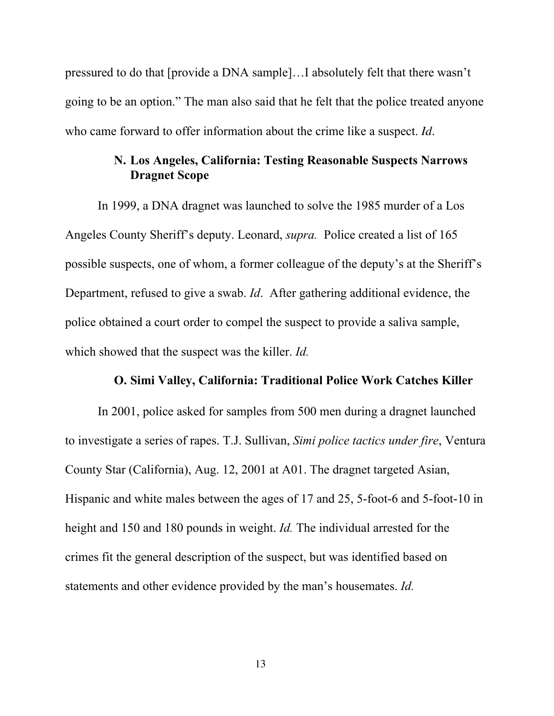pressured to do that [provide a DNA sample]…I absolutely felt that there wasn't going to be an option." The man also said that he felt that the police treated anyone who came forward to offer information about the crime like a suspect. *Id.*

## N. Los Angeles, California: Testing Reasonable Suspects Narrows Dragnet Scope

In 1999, a DNA dragnet was launched to solve the 1985 murder of a Los Angeles County Sheriff's deputy. Leonard, *supra.* Police created a list of 165 possible suspects, one of whom, a former colleague of the deputy's at the Sheriff's Department, refused to give a swab. *Id*. After gathering additional evidence, the police obtained a court order to compel the suspect to provide a saliva sample, which showed that the suspect was the killer. *Id.*

#### O. Simi Valley, California: Traditional Police Work Catches Killer

In 2001, police asked for samples from 500 men during a dragnet launched to investigate a series of rapes. T.J. Sullivan, *Simi police tactics under fire*, Ventura County Star (California), Aug. 12, 2001 at A01. The dragnet targeted Asian, Hispanic and white males between the ages of 17 and 25, 5-foot-6 and 5-foot-10 in height and 150 and 180 pounds in weight. *Id.* The individual arrested for the crimes fit the general description of the suspect, but was identified based on statements and other evidence provided by the man's housemates. *Id.*

13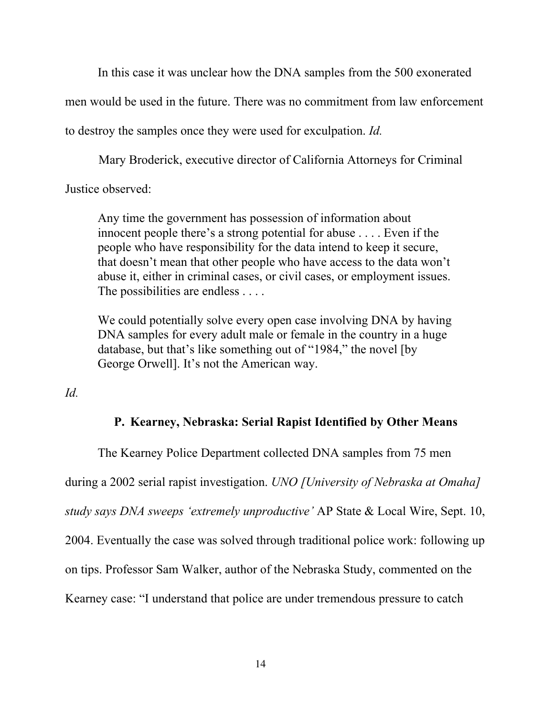In this case it was unclear how the DNA samples from the 500 exonerated

men would be used in the future. There was no commitment from law enforcement

to destroy the samples once they were used for exculpation. *Id.*

Mary Broderick, executive director of California Attorneys for Criminal

Justice observed:

Any time the government has possession of information about innocent people there's a strong potential for abuse . . . . Even if the people who have responsibility for the data intend to keep it secure, that doesn't mean that other people who have access to the data won't abuse it, either in criminal cases, or civil cases, or employment issues. The possibilities are endless . . . .

We could potentially solve every open case involving DNA by having DNA samples for every adult male or female in the country in a huge database, but that's like something out of "1984," the novel [by George Orwell]. It's not the American way.

*Id.*

### P. Kearney, Nebraska: Serial Rapist Identified by Other Means

The Kearney Police Department collected DNA samples from 75 men during a 2002 serial rapist investigation. *UNO [University of Nebraska at Omaha] study says DNA sweeps 'extremely unproductive'* AP State & Local Wire, Sept. 10, 2004. Eventually the case was solved through traditional police work: following up on tips. Professor Sam Walker, author of the Nebraska Study, commented on the Kearney case: "I understand that police are under tremendous pressure to catch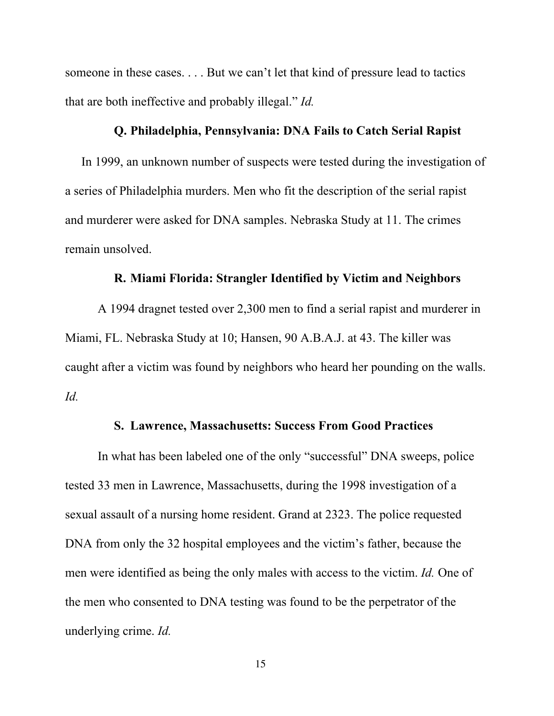someone in these cases. . . . But we can't let that kind of pressure lead to tactics that are both ineffective and probably illegal." *Id.*

#### Q. Philadelphia, Pennsylvania: DNA Fails to Catch Serial Rapist

In 1999, an unknown number of suspects were tested during the investigation of a series of Philadelphia murders. Men who fit the description of the serial rapist and murderer were asked for DNA samples. Nebraska Study at 11. The crimes remain unsolved.

#### R. Miami Florida: Strangler Identified by Victim and Neighbors

A 1994 dragnet tested over 2,300 men to find a serial rapist and murderer in Miami, FL. Nebraska Study at 10; Hansen, 90 A.B.A.J. at 43. The killer was caught after a victim was found by neighbors who heard her pounding on the walls. *Id.*

#### S. Lawrence, Massachusetts: Success From Good Practices

In what has been labeled one of the only "successful" DNA sweeps, police tested 33 men in Lawrence, Massachusetts, during the 1998 investigation of a sexual assault of a nursing home resident. Grand at 2323. The police requested DNA from only the 32 hospital employees and the victim's father, because the men were identified as being the only males with access to the victim. *Id.* One of the men who consented to DNA testing was found to be the perpetrator of the underlying crime. *Id.*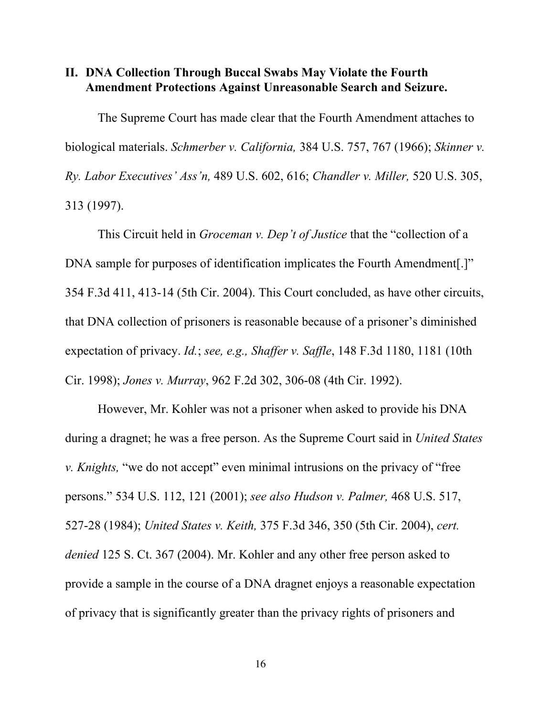### II. DNA Collection Through Buccal Swabs May Violate the Fourth Amendment Protections Against Unreasonable Search and Seizure.

The Supreme Court has made clear that the Fourth Amendment attaches to biological materials. *Schmerber v. California,* 384 U.S. 757, 767 (1966); *Skinner v. Ry. Labor Executives' Ass'n,* 489 U.S. 602, 616; *Chandler v. Miller,* 520 U.S. 305, 313 (1997).

This Circuit held in *Groceman v. Dep't of Justice* that the "collection of a DNA sample for purposes of identification implicates the Fourth Amendment[.]" 354 F.3d 411, 413-14 (5th Cir. 2004). This Court concluded, as have other circuits, that DNA collection of prisoners is reasonable because of a prisoner's diminished expectation of privacy. *Id.*; *see, e.g., Shaffer v. Saffle*, 148 F.3d 1180, 1181 (10th Cir. 1998); *Jones v. Murray*, 962 F.2d 302, 306-08 (4th Cir. 1992).

However, Mr. Kohler was not a prisoner when asked to provide his DNA during a dragnet; he was a free person. As the Supreme Court said in *United States v. Knights,* "we do not accept" even minimal intrusions on the privacy of "free persons." 534 U.S. 112, 121 (2001); *see also Hudson v. Palmer,* 468 U.S. 517, 527-28 (1984); *United States v. Keith,* 375 F.3d 346, 350 (5th Cir. 2004), *cert. denied* 125 S. Ct. 367 (2004). Mr. Kohler and any other free person asked to provide a sample in the course of a DNA dragnet enjoys a reasonable expectation of privacy that is significantly greater than the privacy rights of prisoners and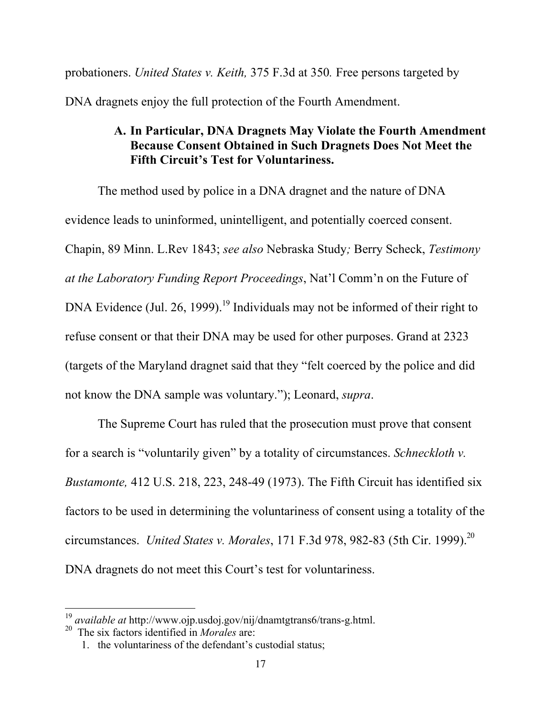probationers. *United States v. Keith,* 375 F.3d at 350*.* Free persons targeted by DNA dragnets enjoy the full protection of the Fourth Amendment.

## A. In Particular, DNA Dragnets May Violate the Fourth Amendment Because Consent Obtained in Such Dragnets Does Not Meet the Fifth Circuit's Test for Voluntariness.

The method used by police in a DNA dragnet and the nature of DNA evidence leads to uninformed, unintelligent, and potentially coerced consent. Chapin, 89 Minn. L.Rev 1843; *see also* Nebraska Study*;* Berry Scheck, *Testimony at the Laboratory Funding Report Proceedings*, Nat'l Comm'n on the Future of DNA Evidence (Jul. 26, 1999).<sup>19</sup> Individuals may not be informed of their right to refuse consent or that their DNA may be used for other purposes. Grand at 2323 (targets of the Maryland dragnet said that they "felt coerced by the police and did not know the DNA sample was voluntary."); Leonard, *supra*.

The Supreme Court has ruled that the prosecution must prove that consent for a search is "voluntarily given" by a totality of circumstances. *Schneckloth v. Bustamonte,* 412 U.S. 218, 223, 248-49 (1973). The Fifth Circuit has identified six factors to be used in determining the voluntariness of consent using a totality of the circumstances. *United States v. Morales*, 171 F.3d 978, 982-83 (5th Cir. 1999).20 DNA dragnets do not meet this Court's test for voluntariness.

<sup>19</sup> *available at* http://www.ojp.usdoj.gov/nij/dnamtgtrans6/trans-g.html.

<sup>20</sup> The six factors identified in *Morales* are:

<sup>1.</sup> the voluntariness of the defendant's custodial status;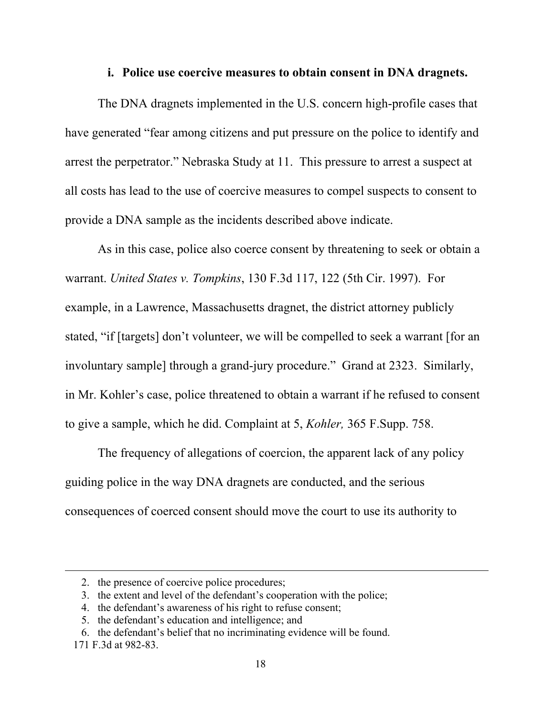#### i. Police use coercive measures to obtain consent in DNA dragnets.

The DNA dragnets implemented in the U.S. concern high-profile cases that have generated "fear among citizens and put pressure on the police to identify and arrest the perpetrator." Nebraska Study at 11. This pressure to arrest a suspect at all costs has lead to the use of coercive measures to compel suspects to consent to provide a DNA sample as the incidents described above indicate.

As in this case, police also coerce consent by threatening to seek or obtain a warrant. *United States v. Tompkins*, 130 F.3d 117, 122 (5th Cir. 1997). For example, in a Lawrence, Massachusetts dragnet, the district attorney publicly stated, "if [targets] don't volunteer, we will be compelled to seek a warrant [for an involuntary sample] through a grand-jury procedure." Grand at 2323. Similarly, in Mr. Kohler's case, police threatened to obtain a warrant if he refused to consent to give a sample, which he did. Complaint at 5, *Kohler,* 365 F.Supp. 758.

The frequency of allegations of coercion, the apparent lack of any policy guiding police in the way DNA dragnets are conducted, and the serious consequences of coerced consent should move the court to use its authority to

 $\overline{a}$ 

<sup>2.</sup> the presence of coercive police procedures;

<sup>3.</sup> the extent and level of the defendant's cooperation with the police;

<sup>4.</sup> the defendant's awareness of his right to refuse consent;

<sup>5.</sup> the defendant's education and intelligence; and

<sup>6.</sup> the defendant's belief that no incriminating evidence will be found. 171 F.3d at 982-83.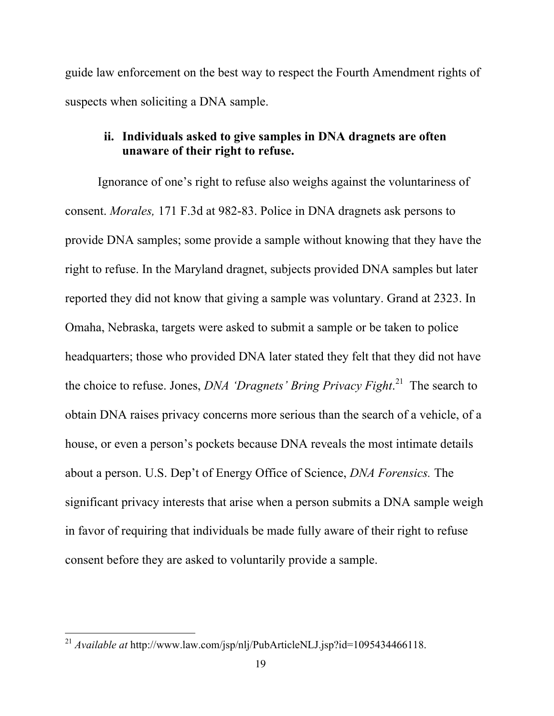guide law enforcement on the best way to respect the Fourth Amendment rights of suspects when soliciting a DNA sample.

# ii. Individuals asked to give samples in DNA dragnets are often unaware of their right to refuse.

Ignorance of one's right to refuse also weighs against the voluntariness of consent. *Morales,* 171 F.3d at 982-83. Police in DNA dragnets ask persons to provide DNA samples; some provide a sample without knowing that they have the right to refuse. In the Maryland dragnet, subjects provided DNA samples but later reported they did not know that giving a sample was voluntary. Grand at 2323. In Omaha, Nebraska, targets were asked to submit a sample or be taken to police headquarters; those who provided DNA later stated they felt that they did not have the choice to refuse. Jones, *DNA 'Dragnets' Bring Privacy Fight*. 21 The search to obtain DNA raises privacy concerns more serious than the search of a vehicle, of a house, or even a person's pockets because DNA reveals the most intimate details about a person. U.S. Dep't of Energy Office of Science, *DNA Forensics.* The significant privacy interests that arise when a person submits a DNA sample weigh in favor of requiring that individuals be made fully aware of their right to refuse consent before they are asked to voluntarily provide a sample.

<sup>&</sup>lt;sup>21</sup> *Available at* http://www.law.com/jsp/nlj/PubArticleNLJ.jsp?id=1095434466118.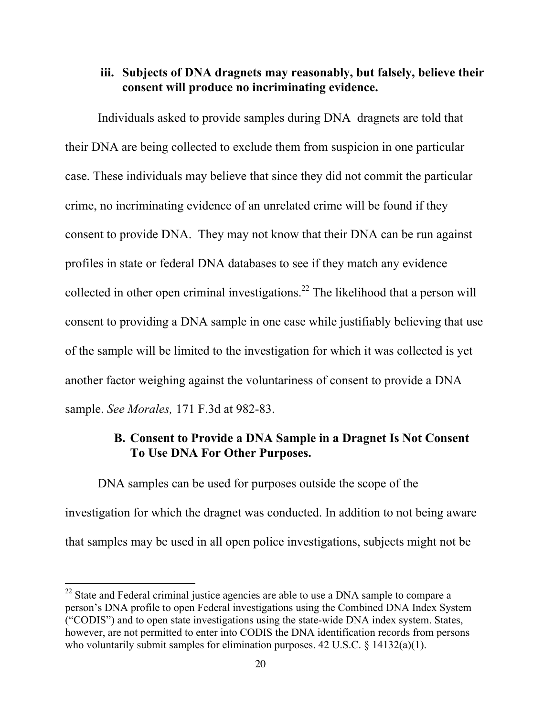## iii. Subjects of DNA dragnets may reasonably, but falsely, believe their consent will produce no incriminating evidence.

Individuals asked to provide samples during DNA dragnets are told that their DNA are being collected to exclude them from suspicion in one particular case. These individuals may believe that since they did not commit the particular crime, no incriminating evidence of an unrelated crime will be found if they consent to provide DNA. They may not know that their DNA can be run against profiles in state or federal DNA databases to see if they match any evidence collected in other open criminal investigations.<sup>22</sup> The likelihood that a person will consent to providing a DNA sample in one case while justifiably believing that use of the sample will be limited to the investigation for which it was collected is yet another factor weighing against the voluntariness of consent to provide a DNA sample. *See Morales,* 171 F.3d at 982-83.

## B. Consent to Provide a DNA Sample in a Dragnet Is Not Consent To Use DNA For Other Purposes.

DNA samples can be used for purposes outside the scope of the investigation for which the dragnet was conducted. In addition to not being aware that samples may be used in all open police investigations, subjects might not be

<sup>&</sup>lt;sup>22</sup> State and Federal criminal justice agencies are able to use a DNA sample to compare a person's DNA profile to open Federal investigations using the Combined DNA Index System ("CODIS") and to open state investigations using the state-wide DNA index system. States, however, are not permitted to enter into CODIS the DNA identification records from persons who voluntarily submit samples for elimination purposes. 42 U.S.C. § 14132(a)(1).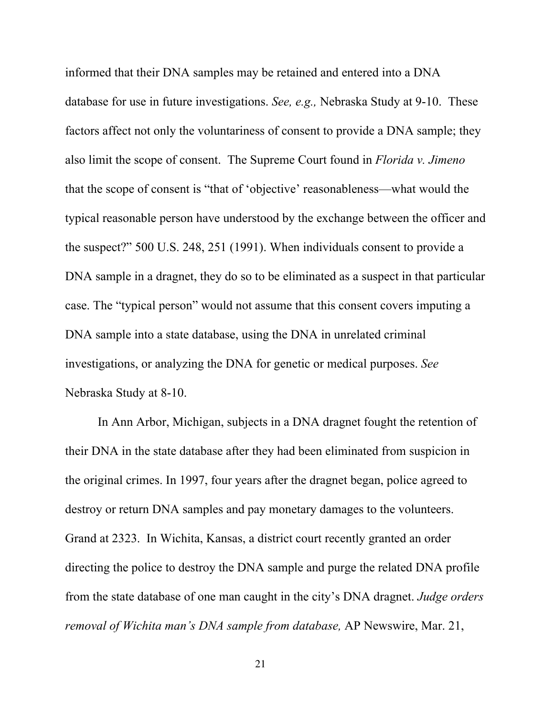informed that their DNA samples may be retained and entered into a DNA database for use in future investigations. *See, e.g.,* Nebraska Study at 9-10. These factors affect not only the voluntariness of consent to provide a DNA sample; they also limit the scope of consent. The Supreme Court found in *Florida v. Jimeno* that the scope of consent is "that of 'objective' reasonableness—what would the typical reasonable person have understood by the exchange between the officer and the suspect?" 500 U.S. 248, 251 (1991). When individuals consent to provide a DNA sample in a dragnet, they do so to be eliminated as a suspect in that particular case. The "typical person" would not assume that this consent covers imputing a DNA sample into a state database, using the DNA in unrelated criminal investigations, or analyzing the DNA for genetic or medical purposes. *See* Nebraska Study at 8-10.

In Ann Arbor, Michigan, subjects in a DNA dragnet fought the retention of their DNA in the state database after they had been eliminated from suspicion in the original crimes. In 1997, four years after the dragnet began, police agreed to destroy or return DNA samples and pay monetary damages to the volunteers. Grand at 2323. In Wichita, Kansas, a district court recently granted an order directing the police to destroy the DNA sample and purge the related DNA profile from the state database of one man caught in the city's DNA dragnet. *Judge orders removal of Wichita man's DNA sample from database,* AP Newswire, Mar. 21,

21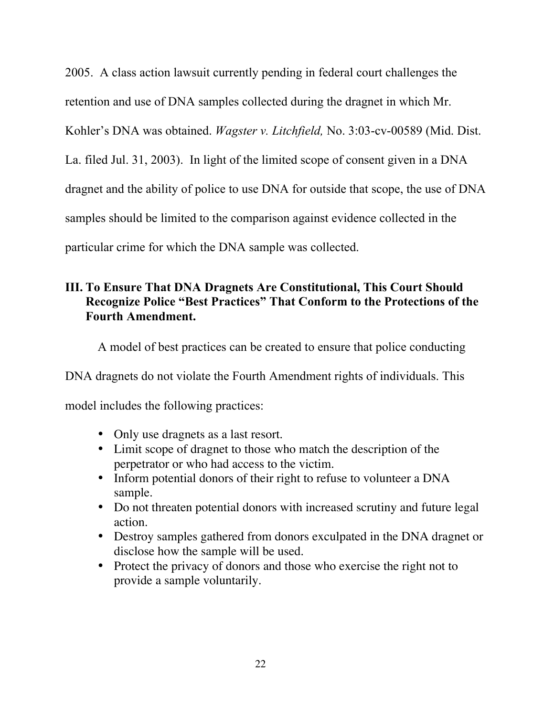2005. A class action lawsuit currently pending in federal court challenges the retention and use of DNA samples collected during the dragnet in which Mr. Kohler's DNA was obtained. *Wagster v. Litchfield,* No. 3:03-cv-00589 (Mid. Dist. La. filed Jul. 31, 2003). In light of the limited scope of consent given in a DNA dragnet and the ability of police to use DNA for outside that scope, the use of DNA samples should be limited to the comparison against evidence collected in the particular crime for which the DNA sample was collected.

# III. To Ensure That DNA Dragnets Are Constitutional, This Court Should Recognize Police "Best Practices" That Conform to the Protections of the Fourth Amendment.

A model of best practices can be created to ensure that police conducting

DNA dragnets do not violate the Fourth Amendment rights of individuals. This

model includes the following practices:

- Only use dragnets as a last resort.
- Limit scope of dragnet to those who match the description of the perpetrator or who had access to the victim.
- Inform potential donors of their right to refuse to volunteer a DNA sample.
- Do not threaten potential donors with increased scrutiny and future legal action.
- Destroy samples gathered from donors exculpated in the DNA dragnet or disclose how the sample will be used.
- Protect the privacy of donors and those who exercise the right not to provide a sample voluntarily.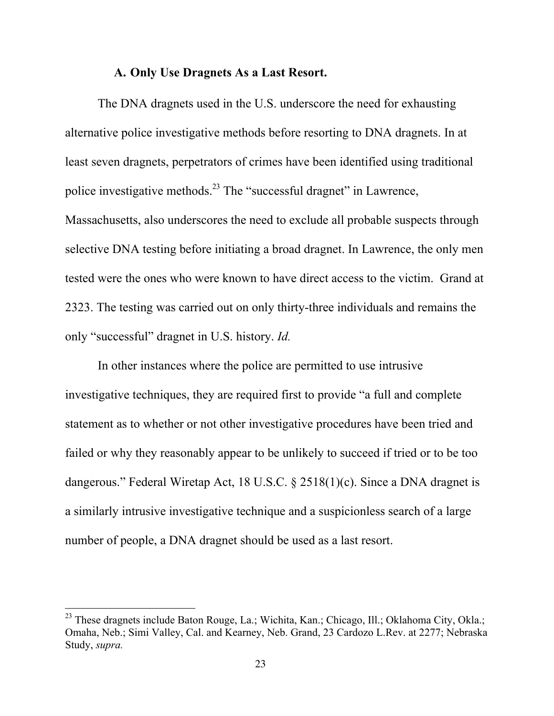### A. Only Use Dragnets As a Last Resort.

The DNA dragnets used in the U.S. underscore the need for exhausting alternative police investigative methods before resorting to DNA dragnets. In at least seven dragnets, perpetrators of crimes have been identified using traditional police investigative methods.<sup>23</sup> The "successful dragnet" in Lawrence, Massachusetts, also underscores the need to exclude all probable suspects through selective DNA testing before initiating a broad dragnet. In Lawrence, the only men tested were the ones who were known to have direct access to the victim. Grand at 2323. The testing was carried out on only thirty-three individuals and remains the only "successful" dragnet in U.S. history. *Id.*

In other instances where the police are permitted to use intrusive investigative techniques, they are required first to provide "a full and complete statement as to whether or not other investigative procedures have been tried and failed or why they reasonably appear to be unlikely to succeed if tried or to be too dangerous." Federal Wiretap Act, 18 U.S.C. § 2518(1)(c). Since a DNA dragnet is a similarly intrusive investigative technique and a suspicionless search of a large number of people, a DNA dragnet should be used as a last resort.

<sup>&</sup>lt;sup>23</sup> These dragnets include Baton Rouge, La.; Wichita, Kan.; Chicago, Ill.; Oklahoma City, Okla.; Omaha, Neb.; Simi Valley, Cal. and Kearney, Neb. Grand, 23 Cardozo L.Rev. at 2277; Nebraska Study, *supra.*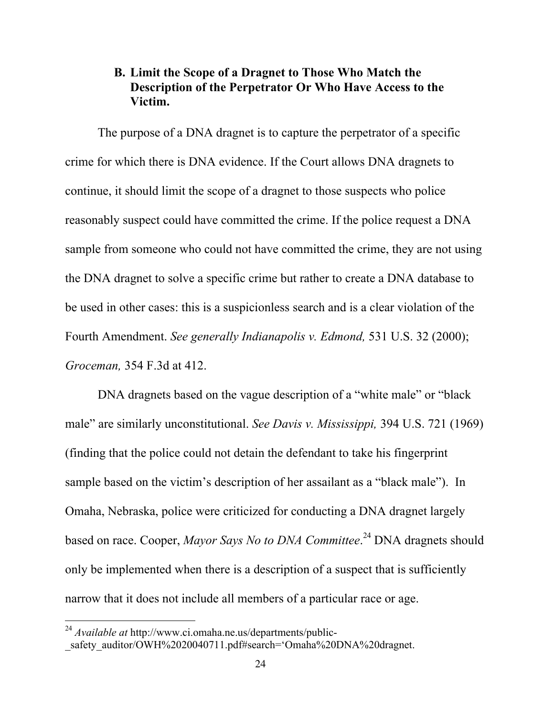## B. Limit the Scope of a Dragnet to Those Who Match the Description of the Perpetrator Or Who Have Access to the Victim.

The purpose of a DNA dragnet is to capture the perpetrator of a specific crime for which there is DNA evidence. If the Court allows DNA dragnets to continue, it should limit the scope of a dragnet to those suspects who police reasonably suspect could have committed the crime. If the police request a DNA sample from someone who could not have committed the crime, they are not using the DNA dragnet to solve a specific crime but rather to create a DNA database to be used in other cases: this is a suspicionless search and is a clear violation of the Fourth Amendment. *See generally Indianapolis v. Edmond,* 531 U.S. 32 (2000); *Groceman,* 354 F.3d at 412.

DNA dragnets based on the vague description of a "white male" or "black male" are similarly unconstitutional. *See Davis v. Mississippi,* 394 U.S. 721 (1969) (finding that the police could not detain the defendant to take his fingerprint sample based on the victim's description of her assailant as a "black male"). In Omaha, Nebraska, police were criticized for conducting a DNA dragnet largely based on race. Cooper, *Mayor Says No to DNA Committee*. 24 DNA dragnets should only be implemented when there is a description of a suspect that is sufficiently narrow that it does not include all members of a particular race or age.

<sup>24</sup> *Available at* http://www.ci.omaha.ne.us/departments/public-

safety\_auditor/OWH%2020040711.pdf#search='Omaha%20DNA%20dragnet.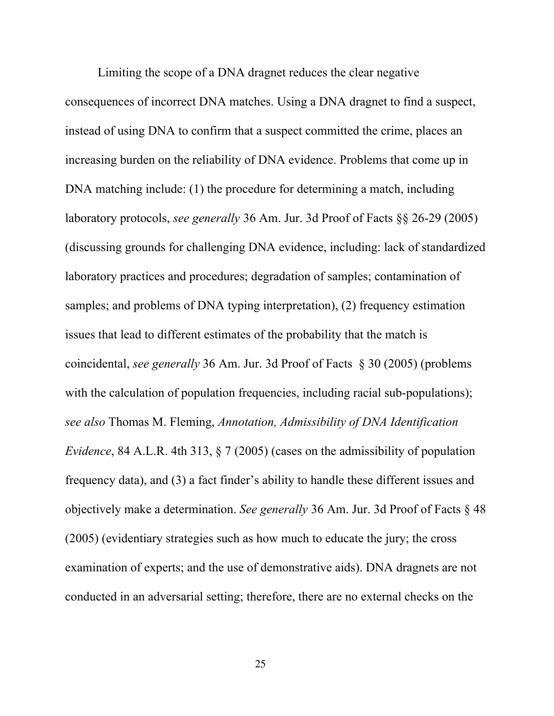Limiting the scope of a DNA dragnet reduces the clear negative consequences of incorrect DNA matches. Using a DNA dragnet to find a suspect, instead of using DNA to confirm that a suspect committed the crime, places an increasing burden on the reliability of DNA evidence. Problems that come up in DNA matching include: (1) the procedure for determining a match, including laboratory protocols, *see generally* 36 Am. Jur. 3d Proof of Facts §§ 26-29 (2005) (discussing grounds for challenging DNA evidence, including: lack of standardized laboratory practices and procedures; degradation of samples; contamination of samples; and problems of DNA typing interpretation), (2) frequency estimation issues that lead to different estimates of the probability that the match is coincidental, *see generally* 36 Am. Jur. 3d Proof of Facts § 30 (2005) (problems with the calculation of population frequencies, including racial sub-populations); *see also* Thomas M. Fleming, *Annotation, Admissibility of DNA Identification Evidence*, 84 A.L.R. 4th 313, § 7 (2005) (cases on the admissibility of population frequency data), and (3) a fact finder's ability to handle these different issues and objectively make a determination. *See generally* 36 Am. Jur. 3d Proof of Facts § 48 (2005) (evidentiary strategies such as how much to educate the jury; the cross examination of experts; and the use of demonstrative aids). DNA dragnets are not conducted in an adversarial setting; therefore, there are no external checks on the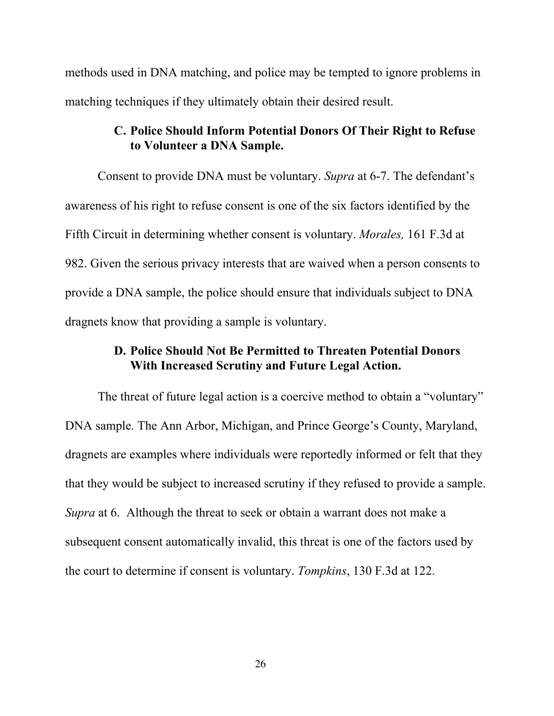methods used in DNA matching, and police may be tempted to ignore problems in matching techniques if they ultimately obtain their desired result.

## C. Police Should Inform Potential Donors Of Their Right to Refuse to Volunteer a DNA Sample.

Consent to provide DNA must be voluntary. *Supra* at 6-7. The defendant's awareness of his right to refuse consent is one of the six factors identified by the Fifth Circuit in determining whether consent is voluntary. *Morales,* 161 F.3d at 982. Given the serious privacy interests that are waived when a person consents to provide a DNA sample, the police should ensure that individuals subject to DNA dragnets know that providing a sample is voluntary.

## D. Police Should Not Be Permitted to Threaten Potential Donors With Increased Scrutiny and Future Legal Action.

The threat of future legal action is a coercive method to obtain a "voluntary" DNA sample. The Ann Arbor, Michigan, and Prince George's County, Maryland, dragnets are examples where individuals were reportedly informed or felt that they that they would be subject to increased scrutiny if they refused to provide a sample. *Supra* at 6. Although the threat to seek or obtain a warrant does not make a subsequent consent automatically invalid, this threat is one of the factors used by the court to determine if consent is voluntary. *Tompkins*, 130 F.3d at 122.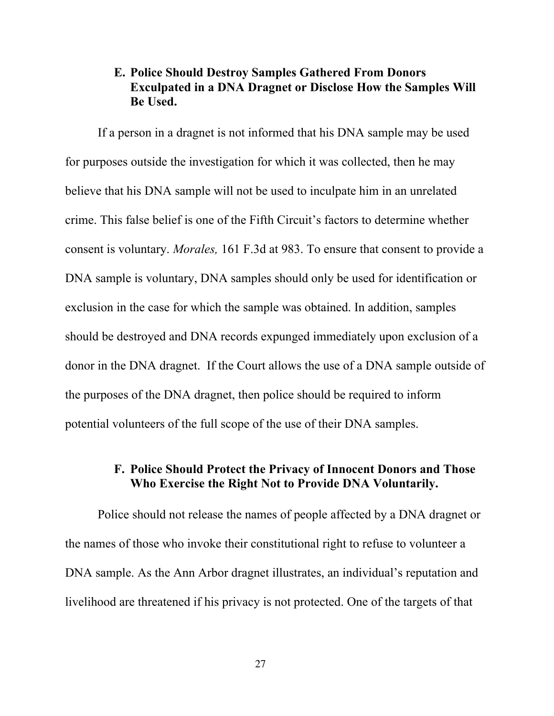## E. Police Should Destroy Samples Gathered From Donors Exculpated in a DNA Dragnet or Disclose How the Samples Will Be Used.

If a person in a dragnet is not informed that his DNA sample may be used for purposes outside the investigation for which it was collected, then he may believe that his DNA sample will not be used to inculpate him in an unrelated crime. This false belief is one of the Fifth Circuit's factors to determine whether consent is voluntary. *Morales,* 161 F.3d at 983. To ensure that consent to provide a DNA sample is voluntary, DNA samples should only be used for identification or exclusion in the case for which the sample was obtained. In addition, samples should be destroyed and DNA records expunged immediately upon exclusion of a donor in the DNA dragnet. If the Court allows the use of a DNA sample outside of the purposes of the DNA dragnet, then police should be required to inform potential volunteers of the full scope of the use of their DNA samples.

## F. Police Should Protect the Privacy of Innocent Donors and Those Who Exercise the Right Not to Provide DNA Voluntarily.

Police should not release the names of people affected by a DNA dragnet or the names of those who invoke their constitutional right to refuse to volunteer a DNA sample. As the Ann Arbor dragnet illustrates, an individual's reputation and livelihood are threatened if his privacy is not protected. One of the targets of that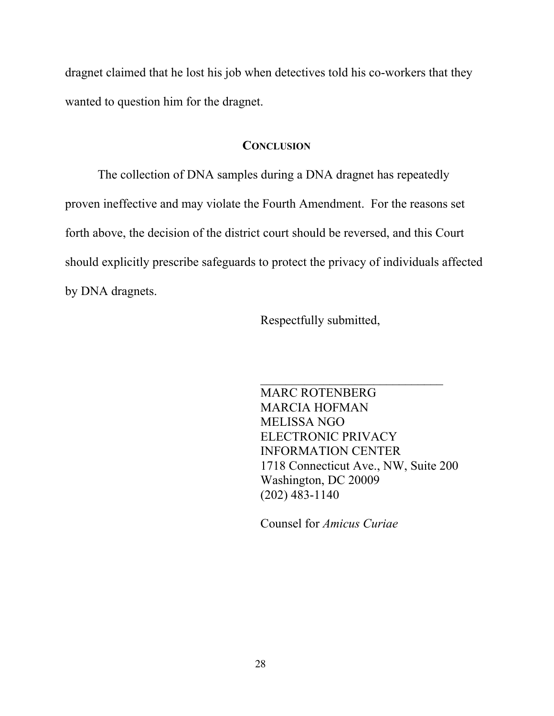dragnet claimed that he lost his job when detectives told his co-workers that they wanted to question him for the dragnet.

#### **CONCLUSION**

The collection of DNA samples during a DNA dragnet has repeatedly proven ineffective and may violate the Fourth Amendment. For the reasons set forth above, the decision of the district court should be reversed, and this Court should explicitly prescribe safeguards to protect the privacy of individuals affected by DNA dragnets.

Respectfully submitted,

MARC ROTENBERG MARCIA HOFMAN MELISSA NGO ELECTRONIC PRIVACY INFORMATION CENTER 1718 Connecticut Ave., NW, Suite 200 Washington, DC 20009 (202) 483-1140

 $\mathcal{L}_\text{max}$  , where  $\mathcal{L}_\text{max}$  , we have the set of  $\mathcal{L}_\text{max}$ 

Counsel for *Amicus Curiae*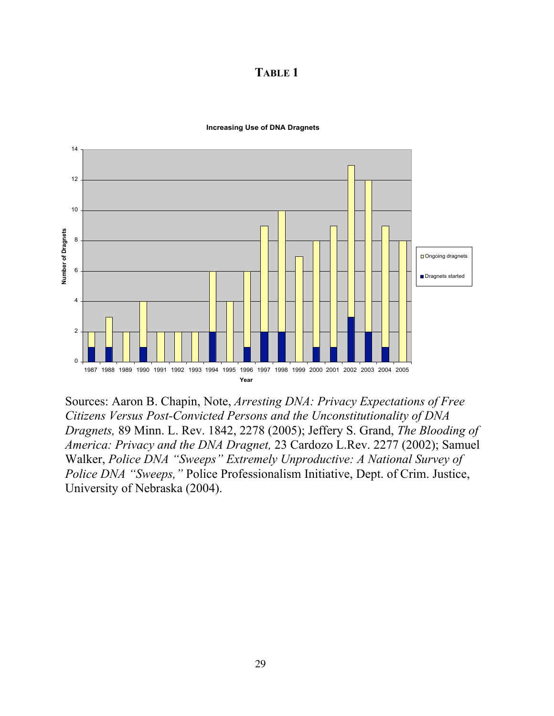TABLE 1



**Increasing Use of DNA Dragnets**

Sources: Aaron B. Chapin, Note, *Arresting DNA: Privacy Expectations of Free Citizens Versus Post-Convicted Persons and the Unconstitutionality of DNA Dragnets,* 89 Minn. L. Rev. 1842, 2278 (2005); Jeffery S. Grand, *The Blooding of America: Privacy and the DNA Dragnet,* 23 Cardozo L.Rev. 2277 (2002); Samuel Walker, *Police DNA "Sweeps" Extremely Unproductive: A National Survey of Police DNA "Sweeps,"* Police Professionalism Initiative, Dept. of Crim. Justice, University of Nebraska (2004).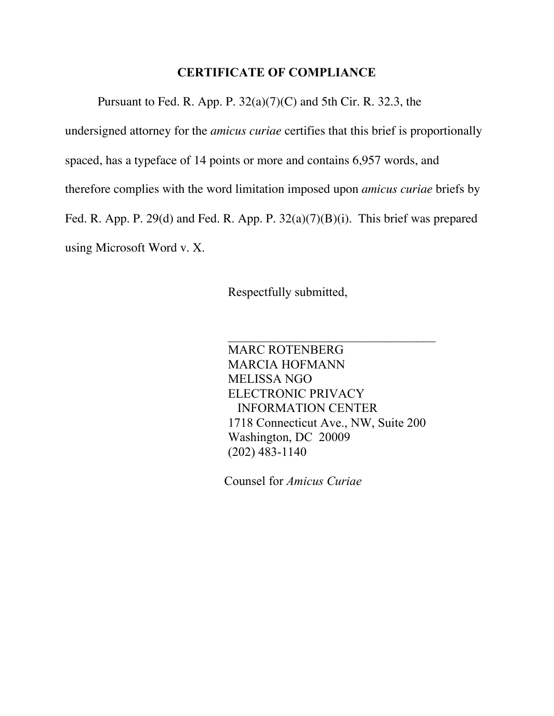### CERTIFICATE OF COMPLIANCE

Pursuant to Fed. R. App. P.  $32(a)(7)(C)$  and 5th Cir. R. 32.3, the

undersigned attorney for the *amicus curiae* certifies that this brief is proportionally spaced, has a typeface of 14 points or more and contains 6,957 words, and therefore complies with the word limitation imposed upon *amicus curiae* briefs by Fed. R. App. P. 29(d) and Fed. R. App. P. 32(a)(7)(B)(i). This brief was prepared using Microsoft Word v. X.

Respectfully submitted,

MARC ROTENBERG MARCIA HOFMANN MELISSA NGO ELECTRONIC PRIVACY INFORMATION CENTER 1718 Connecticut Ave., NW, Suite 200 Washington, DC 20009 (202) 483-1140

Counsel for *Amicus Curiae*